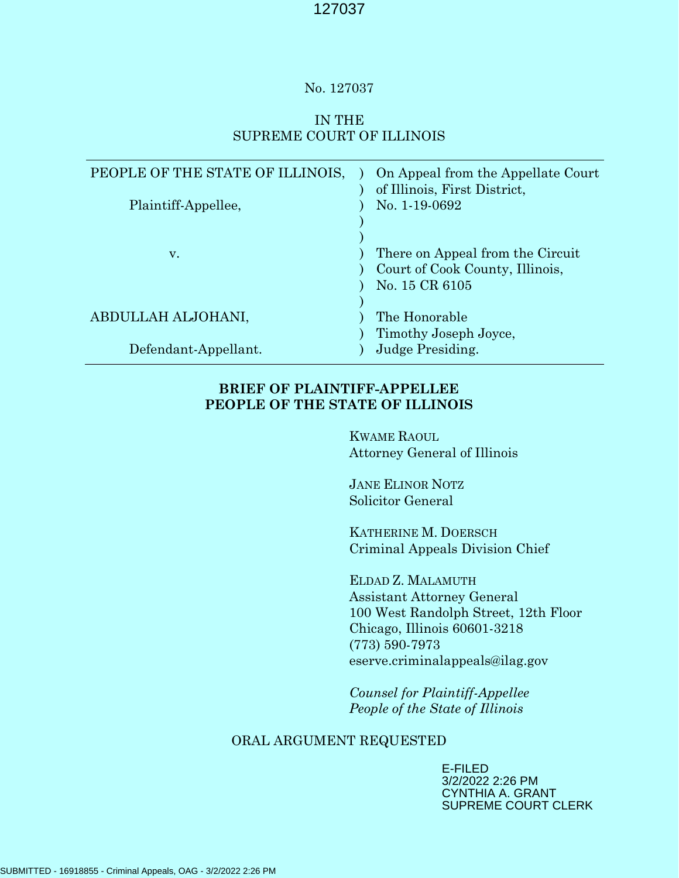#### No. 127037

## IN THE SUPREME COURT OF ILLINOIS

| PEOPLE OF THE STATE OF ILLINOIS,<br>Plaintiff-Appellee, | On Appeal from the Appellate Court<br>of Illinois, First District,<br>No. 1-19-0692   |
|---------------------------------------------------------|---------------------------------------------------------------------------------------|
| v.                                                      | There on Appeal from the Circuit<br>Court of Cook County, Illinois,<br>No. 15 CR 6105 |
| ABDULLAH ALJOHANI,                                      | The Honorable<br>Timothy Joseph Joyce,                                                |
| Defendant-Appellant.                                    | Judge Presiding.                                                                      |

## BRIEF OF PLAINTIFF-APPELLEE PEOPLE OF THE STATE OF ILLINOIS

KWAME RAOUL Attorney General of Illinois

JANE ELINOR NOTZ Solicitor General

KATHERINE M. DOERSCH Criminal Appeals Division Chief

ELDAD Z. MALAMUTH Assistant Attorney General 100 West Randolph Street, 12th Floor Chicago, Illinois 60601-3218 (773) 590-7973 eserve.criminalappeals@ilag.gov

Counsel for Plaintiff-Appellee People of the State of Illinois

## ORAL ARGUMENT REQUESTED

E-FILED 3/2/2022 2:26 PM CYNTHIA A. GRANT SUPREME COURT CLERK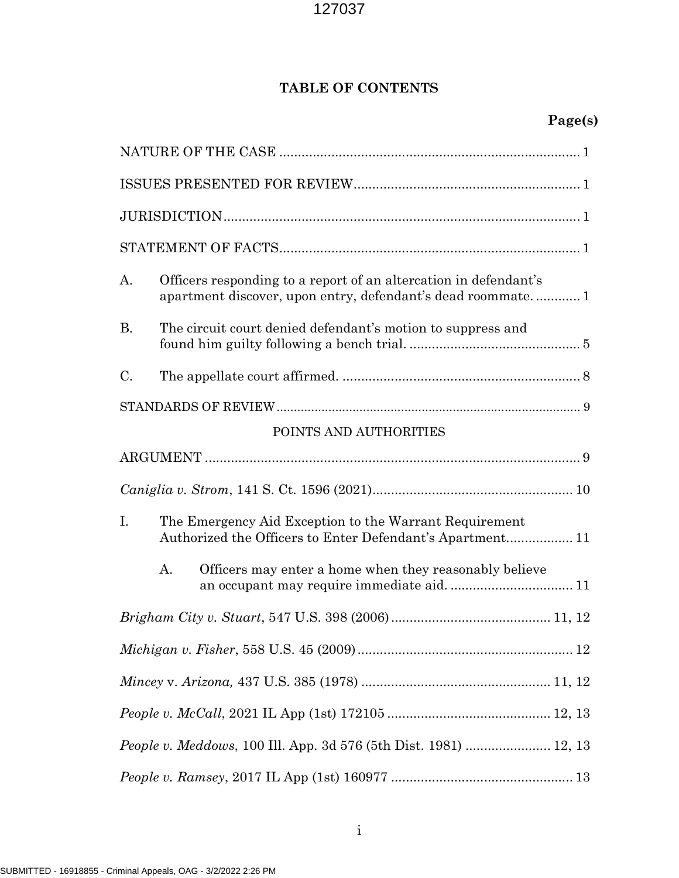# TABLE OF CONTENTS

| A.                                                               | Officers responding to a report of an altercation in defendant's<br>apartment discover, upon entry, defendant's dead roommate 1 |  |
|------------------------------------------------------------------|---------------------------------------------------------------------------------------------------------------------------------|--|
| <b>B.</b>                                                        | The circuit court denied defendant's motion to suppress and                                                                     |  |
| C.                                                               |                                                                                                                                 |  |
|                                                                  |                                                                                                                                 |  |
|                                                                  | POINTS AND AUTHORITIES                                                                                                          |  |
|                                                                  |                                                                                                                                 |  |
|                                                                  |                                                                                                                                 |  |
| Ι.                                                               | The Emergency Aid Exception to the Warrant Requirement<br>Authorized the Officers to Enter Defendant's Apartment 11             |  |
|                                                                  | A.<br>Officers may enter a home when they reasonably believe                                                                    |  |
|                                                                  |                                                                                                                                 |  |
|                                                                  |                                                                                                                                 |  |
|                                                                  |                                                                                                                                 |  |
|                                                                  |                                                                                                                                 |  |
| People v. Meddows, 100 Ill. App. 3d 576 (5th Dist. 1981)  12, 13 |                                                                                                                                 |  |
|                                                                  |                                                                                                                                 |  |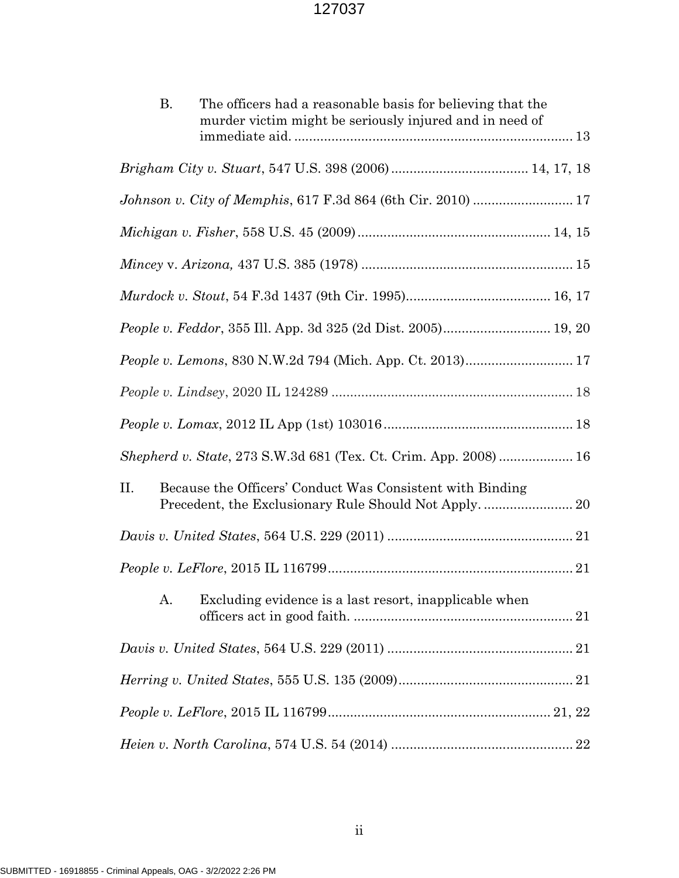| The officers had a reasonable basis for believing that the<br><b>B.</b><br>murder victim might be seriously injured and in need of |  |  |
|------------------------------------------------------------------------------------------------------------------------------------|--|--|
|                                                                                                                                    |  |  |
|                                                                                                                                    |  |  |
|                                                                                                                                    |  |  |
|                                                                                                                                    |  |  |
|                                                                                                                                    |  |  |
|                                                                                                                                    |  |  |
| People v. Feddor, 355 Ill. App. 3d 325 (2d Dist. 2005) 19, 20                                                                      |  |  |
| People v. Lemons, 830 N.W.2d 794 (Mich. App. Ct. 2013) 17                                                                          |  |  |
|                                                                                                                                    |  |  |
|                                                                                                                                    |  |  |
| Shepherd v. State, 273 S.W.3d 681 (Tex. Ct. Crim. App. 2008) 16                                                                    |  |  |
| II.<br>Because the Officers' Conduct Was Consistent with Binding                                                                   |  |  |
|                                                                                                                                    |  |  |
|                                                                                                                                    |  |  |
| Excluding evidence is a last resort, inapplicable when<br>A.                                                                       |  |  |
|                                                                                                                                    |  |  |
|                                                                                                                                    |  |  |
|                                                                                                                                    |  |  |
|                                                                                                                                    |  |  |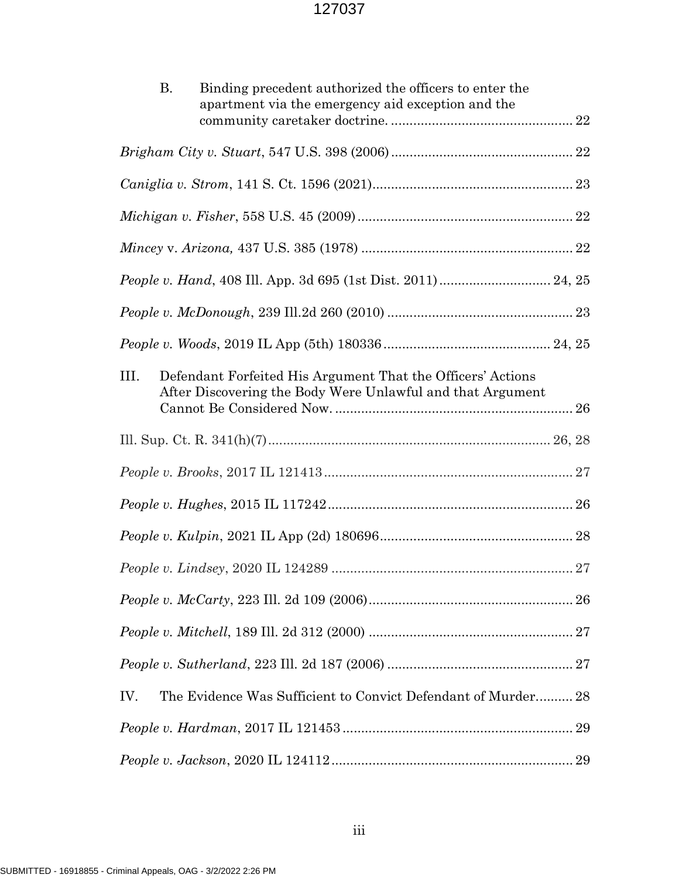| В.<br>Binding precedent authorized the officers to enter the<br>apartment via the emergency aid exception and the               |
|---------------------------------------------------------------------------------------------------------------------------------|
|                                                                                                                                 |
|                                                                                                                                 |
|                                                                                                                                 |
|                                                                                                                                 |
|                                                                                                                                 |
|                                                                                                                                 |
|                                                                                                                                 |
| Defendant Forfeited His Argument That the Officers' Actions<br>Ш.<br>After Discovering the Body Were Unlawful and that Argument |
|                                                                                                                                 |
|                                                                                                                                 |
|                                                                                                                                 |
|                                                                                                                                 |
|                                                                                                                                 |
|                                                                                                                                 |
|                                                                                                                                 |
|                                                                                                                                 |
| The Evidence Was Sufficient to Convict Defendant of Murder 28<br>IV.                                                            |
|                                                                                                                                 |
|                                                                                                                                 |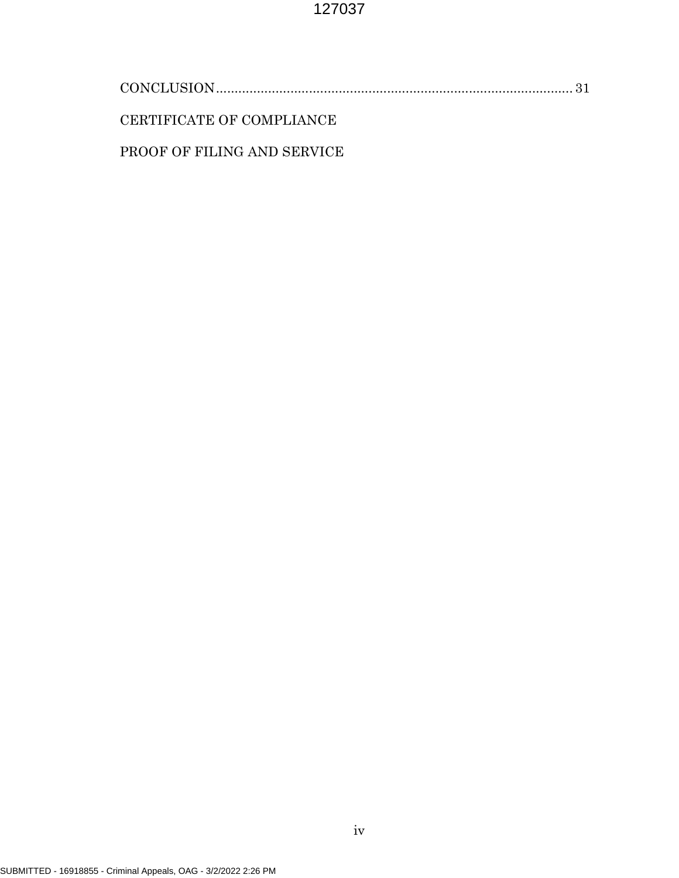| CERTIFICATE OF COMPLIANCE   |  |
|-----------------------------|--|
| PROOF OF FILING AND SERVICE |  |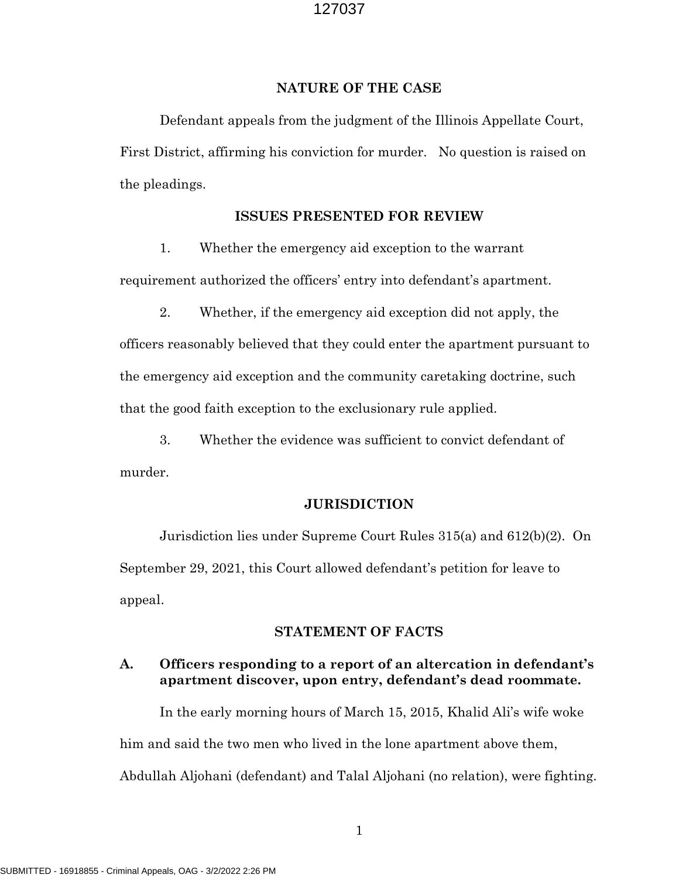#### NATURE OF THE CASE

 Defendant appeals from the judgment of the Illinois Appellate Court, First District, affirming his conviction for murder. No question is raised on the pleadings.

## ISSUES PRESENTED FOR REVIEW

1. Whether the emergency aid exception to the warrant requirement authorized the officers' entry into defendant's apartment.

2. Whether, if the emergency aid exception did not apply, the officers reasonably believed that they could enter the apartment pursuant to the emergency aid exception and the community caretaking doctrine, such that the good faith exception to the exclusionary rule applied.

3. Whether the evidence was sufficient to convict defendant of murder.

#### **JURISDICTION**

 Jurisdiction lies under Supreme Court Rules 315(a) and 612(b)(2). On September 29, 2021, this Court allowed defendant's petition for leave to appeal.

#### STATEMENT OF FACTS

## A. Officers responding to a report of an altercation in defendant's apartment discover, upon entry, defendant's dead roommate.

In the early morning hours of March 15, 2015, Khalid Ali's wife woke him and said the two men who lived in the lone apartment above them, Abdullah Aljohani (defendant) and Talal Aljohani (no relation), were fighting.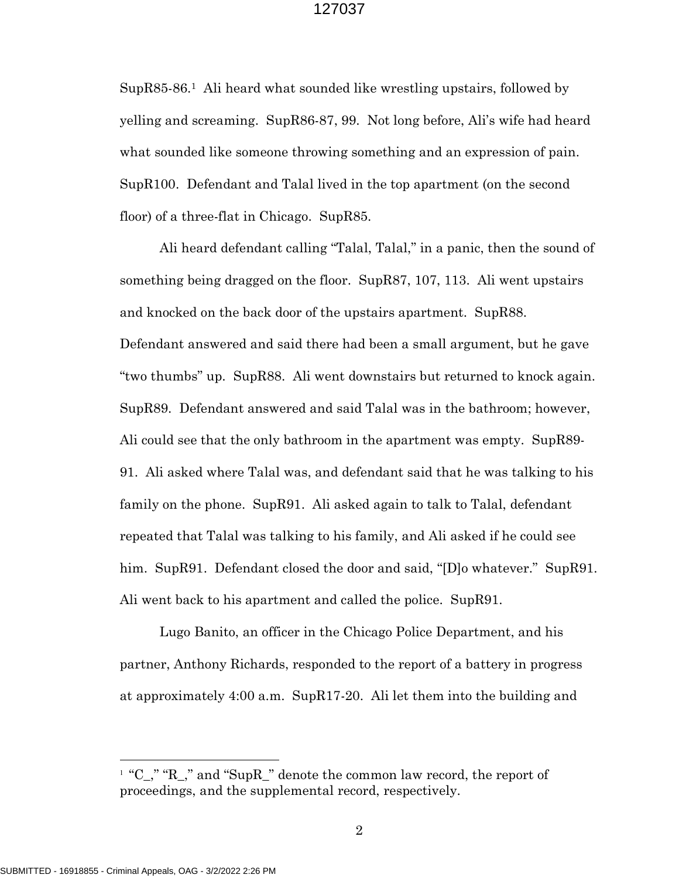SupR85-86.1 Ali heard what sounded like wrestling upstairs, followed by yelling and screaming. SupR86-87, 99. Not long before, Ali's wife had heard what sounded like someone throwing something and an expression of pain. SupR100. Defendant and Talal lived in the top apartment (on the second floor) of a three-flat in Chicago. SupR85.

Ali heard defendant calling "Talal, Talal," in a panic, then the sound of something being dragged on the floor. SupR87, 107, 113. Ali went upstairs and knocked on the back door of the upstairs apartment. SupR88. Defendant answered and said there had been a small argument, but he gave "two thumbs" up. SupR88. Ali went downstairs but returned to knock again. SupR89. Defendant answered and said Talal was in the bathroom; however, Ali could see that the only bathroom in the apartment was empty. SupR89- 91. Ali asked where Talal was, and defendant said that he was talking to his family on the phone. SupR91. Ali asked again to talk to Talal, defendant repeated that Talal was talking to his family, and Ali asked if he could see him. SupR91. Defendant closed the door and said, "[D]o whatever." SupR91. Ali went back to his apartment and called the police. SupR91.

Lugo Banito, an officer in the Chicago Police Department, and his partner, Anthony Richards, responded to the report of a battery in progress at approximately 4:00 a.m. SupR17-20. Ali let them into the building and

 $\overline{a}$ 

<sup>&</sup>lt;sup>1</sup> "C<sub>-</sub>," "R<sub>-</sub>," and "SupR<sub>-</sub>" denote the common law record, the report of proceedings, and the supplemental record, respectively.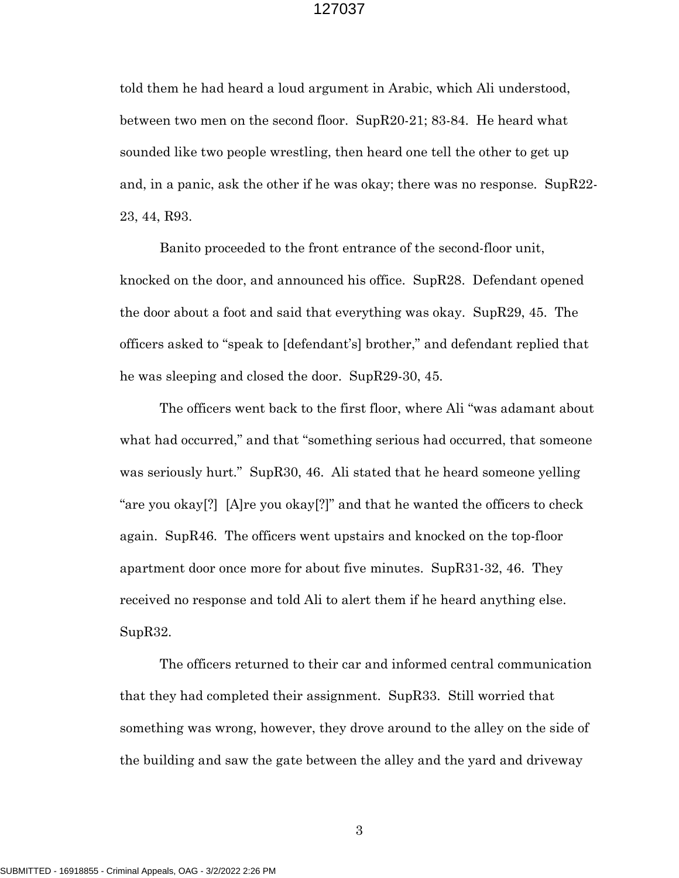told them he had heard a loud argument in Arabic, which Ali understood, between two men on the second floor. SupR20-21; 83-84. He heard what sounded like two people wrestling, then heard one tell the other to get up and, in a panic, ask the other if he was okay; there was no response. SupR22- 23, 44, R93.

Banito proceeded to the front entrance of the second-floor unit, knocked on the door, and announced his office. SupR28. Defendant opened the door about a foot and said that everything was okay. SupR29, 45. The officers asked to "speak to [defendant's] brother," and defendant replied that he was sleeping and closed the door. SupR29-30, 45.

The officers went back to the first floor, where Ali "was adamant about what had occurred," and that "something serious had occurred, that someone was seriously hurt." SupR30, 46. Ali stated that he heard someone yelling "are you okay[?] [A]re you okay[?]" and that he wanted the officers to check again. SupR46. The officers went upstairs and knocked on the top-floor apartment door once more for about five minutes. SupR31-32, 46. They received no response and told Ali to alert them if he heard anything else. SupR32.

The officers returned to their car and informed central communication that they had completed their assignment. SupR33. Still worried that something was wrong, however, they drove around to the alley on the side of the building and saw the gate between the alley and the yard and driveway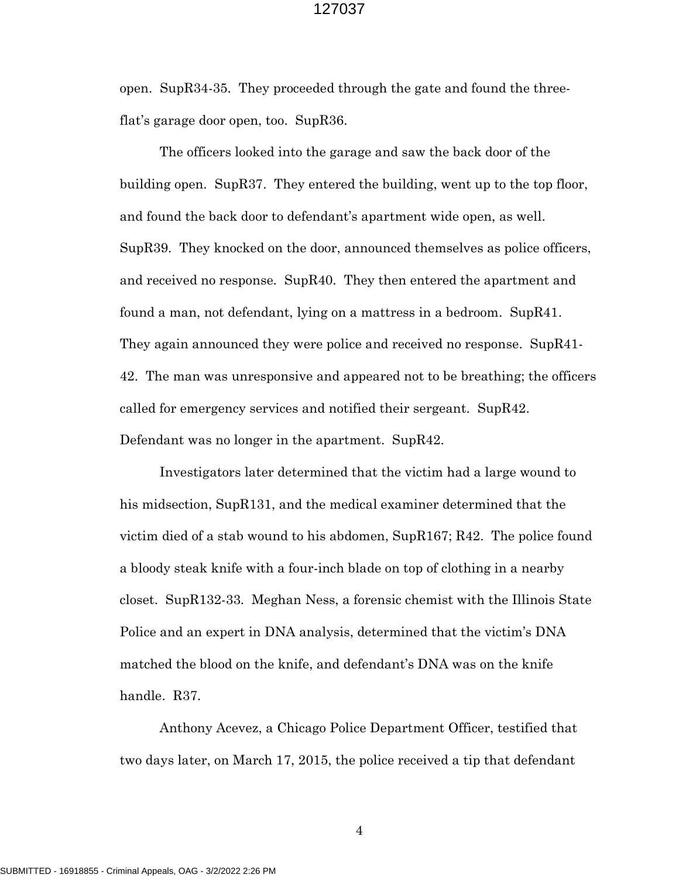open. SupR34-35. They proceeded through the gate and found the threeflat's garage door open, too. SupR36.

The officers looked into the garage and saw the back door of the building open. SupR37. They entered the building, went up to the top floor, and found the back door to defendant's apartment wide open, as well. SupR39. They knocked on the door, announced themselves as police officers, and received no response. SupR40. They then entered the apartment and found a man, not defendant, lying on a mattress in a bedroom. SupR41. They again announced they were police and received no response. SupR41- 42. The man was unresponsive and appeared not to be breathing; the officers called for emergency services and notified their sergeant. SupR42. Defendant was no longer in the apartment. SupR42.

Investigators later determined that the victim had a large wound to his midsection, SupR131, and the medical examiner determined that the victim died of a stab wound to his abdomen, SupR167; R42. The police found a bloody steak knife with a four-inch blade on top of clothing in a nearby closet. SupR132-33. Meghan Ness, a forensic chemist with the Illinois State Police and an expert in DNA analysis, determined that the victim's DNA matched the blood on the knife, and defendant's DNA was on the knife handle. R37.

Anthony Acevez, a Chicago Police Department Officer, testified that two days later, on March 17, 2015, the police received a tip that defendant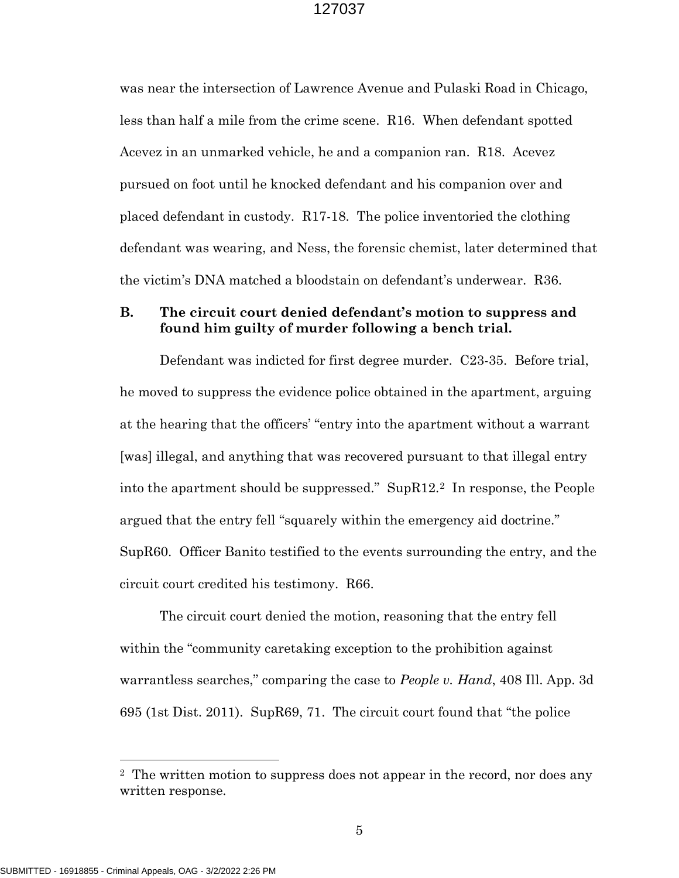was near the intersection of Lawrence Avenue and Pulaski Road in Chicago, less than half a mile from the crime scene. R16. When defendant spotted Acevez in an unmarked vehicle, he and a companion ran. R18. Acevez pursued on foot until he knocked defendant and his companion over and placed defendant in custody. R17-18. The police inventoried the clothing defendant was wearing, and Ness, the forensic chemist, later determined that the victim's DNA matched a bloodstain on defendant's underwear. R36.

## B. The circuit court denied defendant's motion to suppress and found him guilty of murder following a bench trial.

Defendant was indicted for first degree murder. C23-35. Before trial, he moved to suppress the evidence police obtained in the apartment, arguing at the hearing that the officers' "entry into the apartment without a warrant [was] illegal, and anything that was recovered pursuant to that illegal entry into the apartment should be suppressed." SupR12.2 In response, the People argued that the entry fell "squarely within the emergency aid doctrine." SupR60. Officer Banito testified to the events surrounding the entry, and the circuit court credited his testimony. R66.

The circuit court denied the motion, reasoning that the entry fell within the "community caretaking exception to the prohibition against warrantless searches," comparing the case to *People v. Hand*, 408 Ill. App. 3d 695 (1st Dist. 2011). SupR69, 71. The circuit court found that "the police

 $\overline{a}$ 

<sup>&</sup>lt;sup>2</sup> The written motion to suppress does not appear in the record, nor does any written response.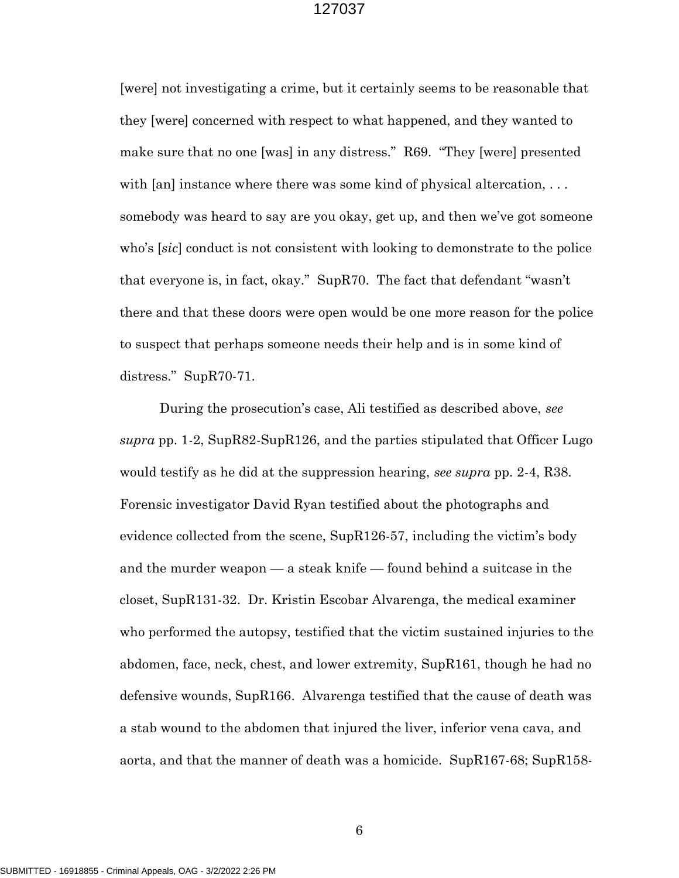[were] not investigating a crime, but it certainly seems to be reasonable that they [were] concerned with respect to what happened, and they wanted to make sure that no one [was] in any distress." R69. "They [were] presented with  $\lceil \varphi \rceil$  instance where there was some kind of physical altercation, ... somebody was heard to say are you okay, get up, and then we've got someone who's [sic] conduct is not consistent with looking to demonstrate to the police that everyone is, in fact, okay." SupR70. The fact that defendant "wasn't there and that these doors were open would be one more reason for the police to suspect that perhaps someone needs their help and is in some kind of distress." SupR70-71.

During the prosecution's case, Ali testified as described above, see supra pp. 1-2,  $SupR82-SupR126$ , and the parties stipulated that Officer Lugo would testify as he did at the suppression hearing, see supra pp. 2-4, R38. Forensic investigator David Ryan testified about the photographs and evidence collected from the scene, SupR126-57, including the victim's body and the murder weapon — a steak knife — found behind a suitcase in the closet, SupR131-32. Dr. Kristin Escobar Alvarenga, the medical examiner who performed the autopsy, testified that the victim sustained injuries to the abdomen, face, neck, chest, and lower extremity, SupR161, though he had no defensive wounds, Sup $R166$ . Alvarenga testified that the cause of death was a stab wound to the abdomen that injured the liver, inferior vena cava, and aorta, and that the manner of death was a homicide. SupR167-68; SupR158-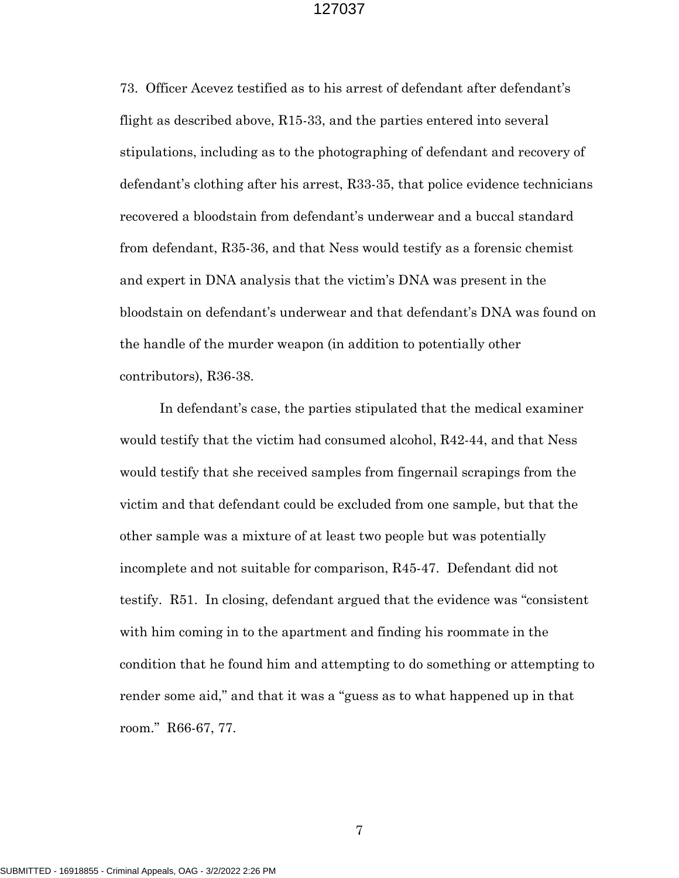73. Officer Acevez testified as to his arrest of defendant after defendant's flight as described above, R15-33, and the parties entered into several stipulations, including as to the photographing of defendant and recovery of defendant's clothing after his arrest, R33-35, that police evidence technicians recovered a bloodstain from defendant's underwear and a buccal standard from defendant, R35-36, and that Ness would testify as a forensic chemist and expert in DNA analysis that the victim's DNA was present in the bloodstain on defendant's underwear and that defendant's DNA was found on the handle of the murder weapon (in addition to potentially other contributors), R36-38.

In defendant's case, the parties stipulated that the medical examiner would testify that the victim had consumed alcohol, R42-44, and that Ness would testify that she received samples from fingernail scrapings from the victim and that defendant could be excluded from one sample, but that the other sample was a mixture of at least two people but was potentially incomplete and not suitable for comparison, R45-47. Defendant did not testify. R51. In closing, defendant argued that the evidence was "consistent with him coming in to the apartment and finding his roommate in the condition that he found him and attempting to do something or attempting to render some aid," and that it was a "guess as to what happened up in that room." R66-67, 77.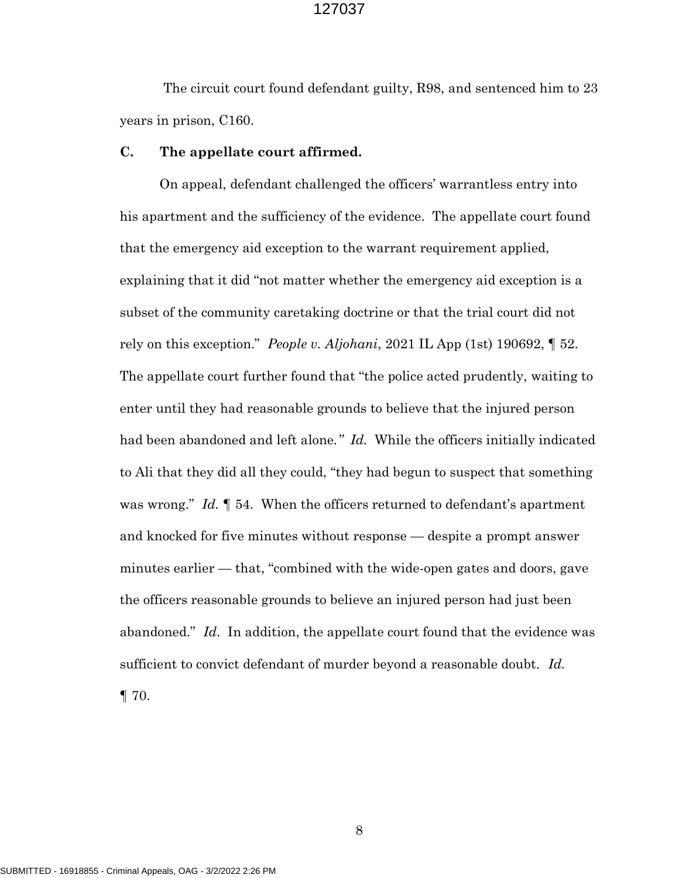The circuit court found defendant guilty, R98, and sentenced him to 23 years in prison, C160.

#### C. The appellate court affirmed.

On appeal, defendant challenged the officers' warrantless entry into his apartment and the sufficiency of the evidence. The appellate court found that the emergency aid exception to the warrant requirement applied, explaining that it did "not matter whether the emergency aid exception is a subset of the community caretaking doctrine or that the trial court did not rely on this exception." *People v. Aljohani*, 2021 IL App (1st) 190692,  $\llbracket$  52. The appellate court further found that "the police acted prudently, waiting to enter until they had reasonable grounds to believe that the injured person had been abandoned and left alone." Id. While the officers initially indicated to Ali that they did all they could, "they had begun to suspect that something was wrong." Id.  $\llbracket$  54. When the officers returned to defendant's apartment and knocked for five minutes without response — despite a prompt answer minutes earlier — that, "combined with the wide-open gates and doors, gave the officers reasonable grounds to believe an injured person had just been abandoned." Id. In addition, the appellate court found that the evidence was sufficient to convict defendant of murder beyond a reasonable doubt. Id.  $\P$  70.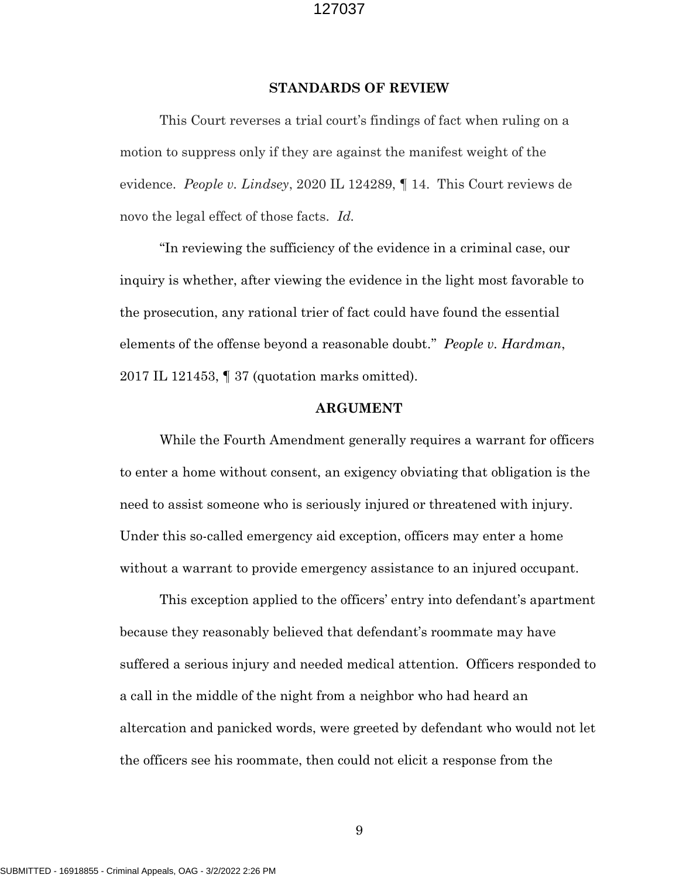#### STANDARDS OF REVIEW

This Court reverses a trial court's findings of fact when ruling on a motion to suppress only if they are against the manifest weight of the evidence. People v. Lindsey, 2020 IL 124289, ¶ 14. This Court reviews de novo the legal effect of those facts. Id.

"In reviewing the sufficiency of the evidence in a criminal case, our inquiry is whether, after viewing the evidence in the light most favorable to the prosecution, any rational trier of fact could have found the essential elements of the offense beyond a reasonable doubt." *People v. Hardman*, 2017 IL 121453, ¶ 37 (quotation marks omitted).

#### ARGUMENT

 While the Fourth Amendment generally requires a warrant for officers to enter a home without consent, an exigency obviating that obligation is the need to assist someone who is seriously injured or threatened with injury. Under this so-called emergency aid exception, officers may enter a home without a warrant to provide emergency assistance to an injured occupant.

This exception applied to the officers' entry into defendant's apartment because they reasonably believed that defendant's roommate may have suffered a serious injury and needed medical attention. Officers responded to a call in the middle of the night from a neighbor who had heard an altercation and panicked words, were greeted by defendant who would not let the officers see his roommate, then could not elicit a response from the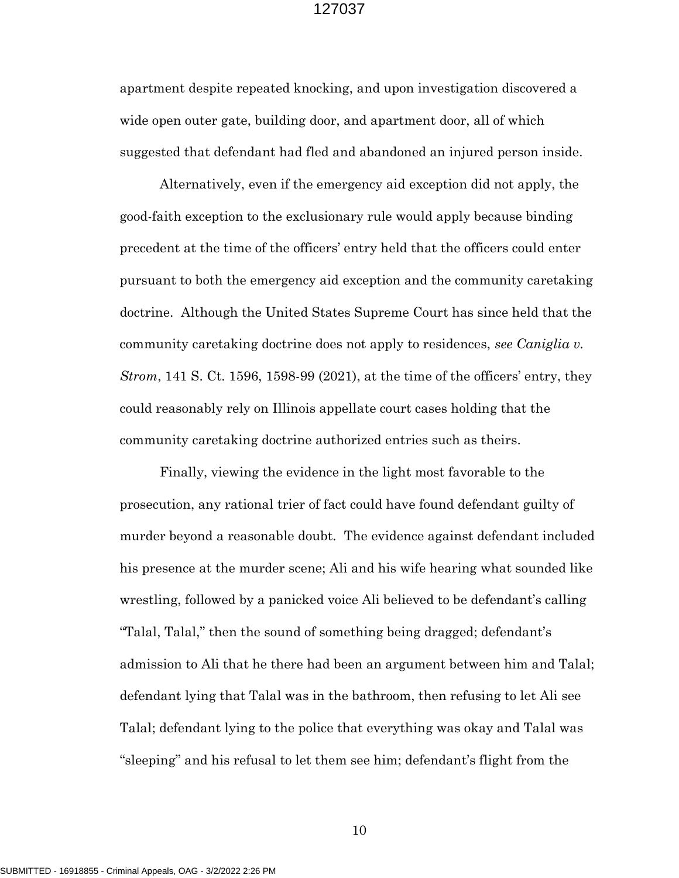apartment despite repeated knocking, and upon investigation discovered a wide open outer gate, building door, and apartment door, all of which suggested that defendant had fled and abandoned an injured person inside.

 Alternatively, even if the emergency aid exception did not apply, the good-faith exception to the exclusionary rule would apply because binding precedent at the time of the officers' entry held that the officers could enter pursuant to both the emergency aid exception and the community caretaking doctrine. Although the United States Supreme Court has since held that the community caretaking doctrine does not apply to residences, see Caniglia v. Strom, 141 S. Ct. 1596, 1598-99 (2021), at the time of the officers' entry, they could reasonably rely on Illinois appellate court cases holding that the community caretaking doctrine authorized entries such as theirs.

 Finally, viewing the evidence in the light most favorable to the prosecution, any rational trier of fact could have found defendant guilty of murder beyond a reasonable doubt. The evidence against defendant included his presence at the murder scene; Ali and his wife hearing what sounded like wrestling, followed by a panicked voice Ali believed to be defendant's calling "Talal, Talal," then the sound of something being dragged; defendant's admission to Ali that he there had been an argument between him and Talal; defendant lying that Talal was in the bathroom, then refusing to let Ali see Talal; defendant lying to the police that everything was okay and Talal was "sleeping" and his refusal to let them see him; defendant's flight from the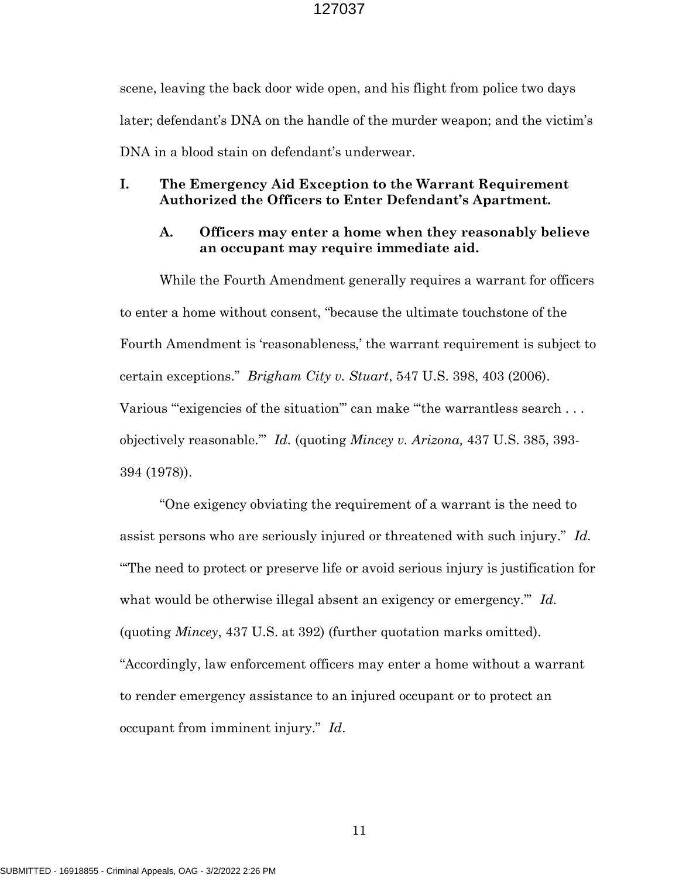scene, leaving the back door wide open, and his flight from police two days later; defendant's DNA on the handle of the murder weapon; and the victim's DNA in a blood stain on defendant's underwear.

## I. The Emergency Aid Exception to the Warrant Requirement Authorized the Officers to Enter Defendant's Apartment.

## A. Officers may enter a home when they reasonably believe an occupant may require immediate aid.

While the Fourth Amendment generally requires a warrant for officers to enter a home without consent, "because the ultimate touchstone of the Fourth Amendment is 'reasonableness,' the warrant requirement is subject to certain exceptions." Brigham City v. Stuart, 547 U.S. 398, 403 (2006). Various "exigencies of the situation" can make "the warrantless search... objectively reasonable.'" Id. (quoting Mincey v. Arizona, 437 U.S. 385, 393- 394 (1978)).

"One exigency obviating the requirement of a warrant is the need to assist persons who are seriously injured or threatened with such injury." Id. "'The need to protect or preserve life or avoid serious injury is justification for what would be otherwise illegal absent an exigency or emergency." Id. (quoting Mincey, 437 U.S. at 392) (further quotation marks omitted). "Accordingly, law enforcement officers may enter a home without a warrant to render emergency assistance to an injured occupant or to protect an occupant from imminent injury." Id.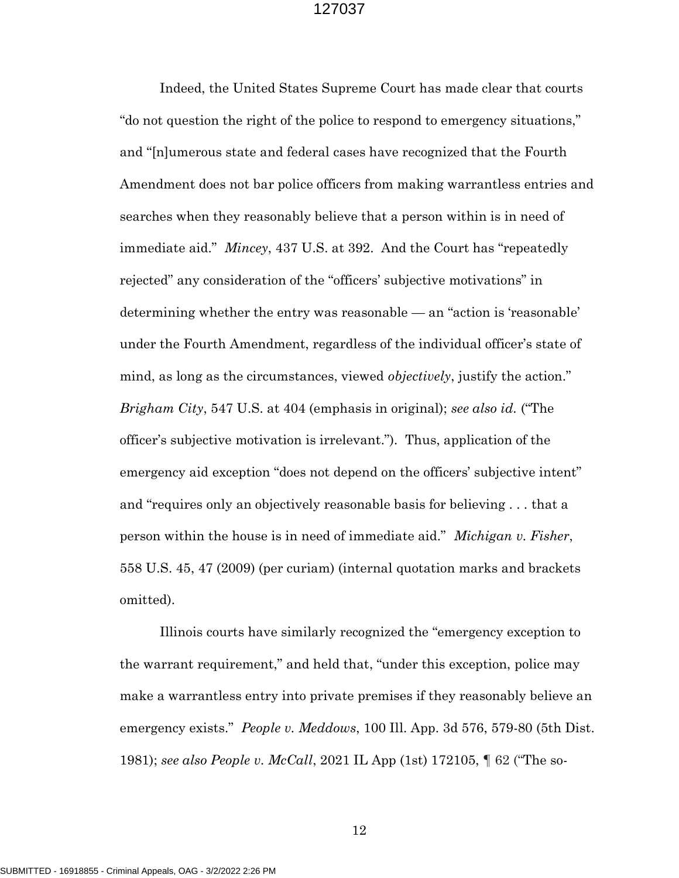Indeed, the United States Supreme Court has made clear that courts "do not question the right of the police to respond to emergency situations," and "[n]umerous state and federal cases have recognized that the Fourth Amendment does not bar police officers from making warrantless entries and searches when they reasonably believe that a person within is in need of immediate aid." *Mincey*, 437 U.S. at 392. And the Court has "repeatedly rejected" any consideration of the "officers' subjective motivations" in determining whether the entry was reasonable — an "action is 'reasonable' under the Fourth Amendment, regardless of the individual officer's state of mind, as long as the circumstances, viewed *objectively*, justify the action." Brigham City, 547 U.S. at 404 (emphasis in original); see also id. ("The officer's subjective motivation is irrelevant."). Thus, application of the emergency aid exception "does not depend on the officers' subjective intent" and "requires only an objectively reasonable basis for believing . . . that a person within the house is in need of immediate aid." Michigan v. Fisher, 558 U.S. 45, 47 (2009) (per curiam) (internal quotation marks and brackets omitted).

 Illinois courts have similarly recognized the "emergency exception to the warrant requirement," and held that, "under this exception, police may make a warrantless entry into private premises if they reasonably believe an emergency exists." *People v. Meddows*, 100 Ill. App. 3d 576, 579-80 (5th Dist.) 1981); see also People v. McCall, 2021 IL App (1st) 172105, ¶ 62 ("The so-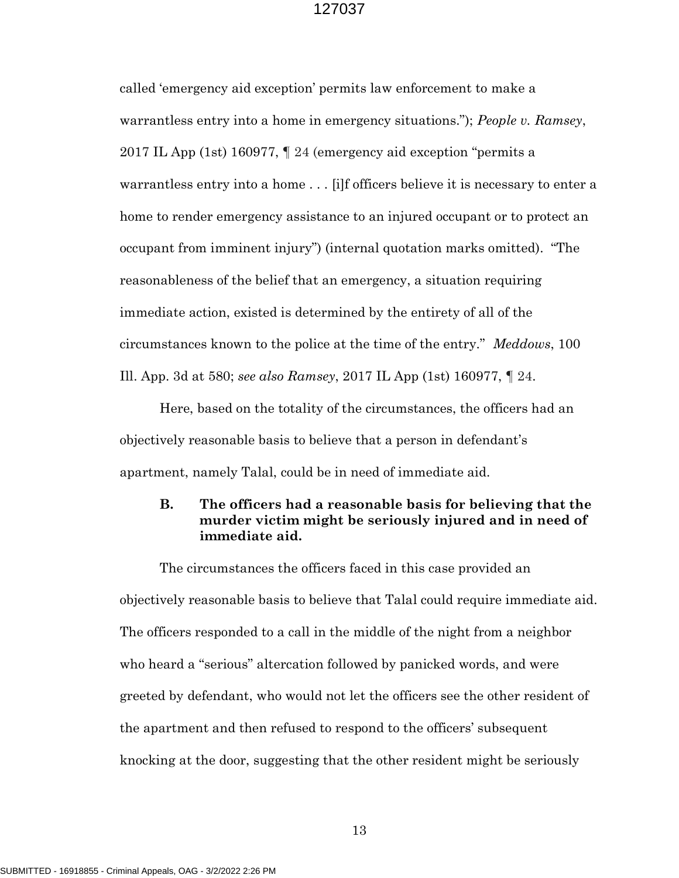called 'emergency aid exception' permits law enforcement to make a warrantless entry into a home in emergency situations."); People v. Ramsey, 2017 IL App (1st) 160977, ¶ 24 (emergency aid exception "permits a warrantless entry into a home . . . [i]f officers believe it is necessary to enter a home to render emergency assistance to an injured occupant or to protect an occupant from imminent injury") (internal quotation marks omitted). "The reasonableness of the belief that an emergency, a situation requiring immediate action, existed is determined by the entirety of all of the circumstances known to the police at the time of the entry." Meddows, 100 Ill. App. 3d at 580; see also Ramsey, 2017 IL App (1st) 160977, ¶ 24.

Here, based on the totality of the circumstances, the officers had an objectively reasonable basis to believe that a person in defendant's apartment, namely Talal, could be in need of immediate aid.

## B. The officers had a reasonable basis for believing that the murder victim might be seriously injured and in need of immediate aid.

The circumstances the officers faced in this case provided an objectively reasonable basis to believe that Talal could require immediate aid. The officers responded to a call in the middle of the night from a neighbor who heard a "serious" altercation followed by panicked words, and were greeted by defendant, who would not let the officers see the other resident of the apartment and then refused to respond to the officers' subsequent knocking at the door, suggesting that the other resident might be seriously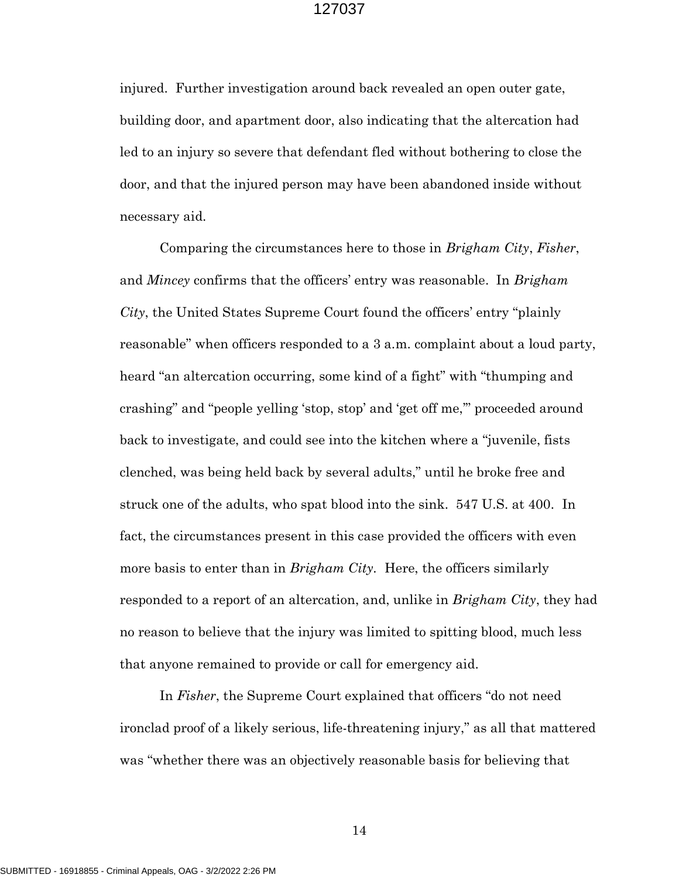injured. Further investigation around back revealed an open outer gate, building door, and apartment door, also indicating that the altercation had led to an injury so severe that defendant fled without bothering to close the door, and that the injured person may have been abandoned inside without necessary aid.

Comparing the circumstances here to those in Brigham City, Fisher, and *Mincey* confirms that the officers' entry was reasonable. In *Brigham* City, the United States Supreme Court found the officers' entry "plainly reasonable" when officers responded to a 3 a.m. complaint about a loud party, heard "an altercation occurring, some kind of a fight" with "thumping and crashing" and "people yelling 'stop, stop' and 'get off me,'" proceeded around back to investigate, and could see into the kitchen where a "juvenile, fists clenched, was being held back by several adults," until he broke free and struck one of the adults, who spat blood into the sink. 547 U.S. at 400. In fact, the circumstances present in this case provided the officers with even more basis to enter than in *Brigham City*. Here, the officers similarly responded to a report of an altercation, and, unlike in *Brigham City*, they had no reason to believe that the injury was limited to spitting blood, much less that anyone remained to provide or call for emergency aid.

In Fisher, the Supreme Court explained that officers "do not need ironclad proof of a likely serious, life-threatening injury," as all that mattered was "whether there was an objectively reasonable basis for believing that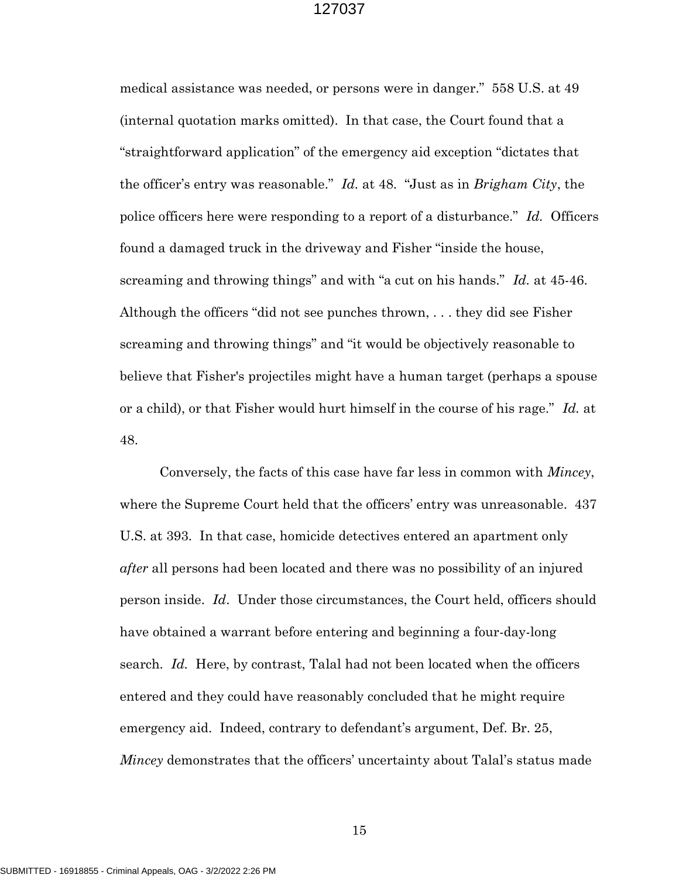medical assistance was needed, or persons were in danger." 558 U.S. at 49 (internal quotation marks omitted). In that case, the Court found that a "straightforward application" of the emergency aid exception "dictates that the officer's entry was reasonable." Id. at 48. "Just as in Brigham City, the police officers here were responding to a report of a disturbance." Id. Officers found a damaged truck in the driveway and Fisher "inside the house, screaming and throwing things" and with "a cut on his hands." Id. at 45-46. Although the officers "did not see punches thrown, . . . they did see Fisher screaming and throwing things" and "it would be objectively reasonable to believe that Fisher's projectiles might have a human target (perhaps a spouse or a child), or that Fisher would hurt himself in the course of his rage." Id. at 48.

Conversely, the facts of this case have far less in common with Mincey, where the Supreme Court held that the officers' entry was unreasonable. 437 U.S. at 393. In that case, homicide detectives entered an apartment only after all persons had been located and there was no possibility of an injured person inside. Id. Under those circumstances, the Court held, officers should have obtained a warrant before entering and beginning a four-day-long search. Id. Here, by contrast, Talal had not been located when the officers entered and they could have reasonably concluded that he might require emergency aid. Indeed, contrary to defendant's argument, Def. Br. 25, *Mincey* demonstrates that the officers' uncertainty about Talal's status made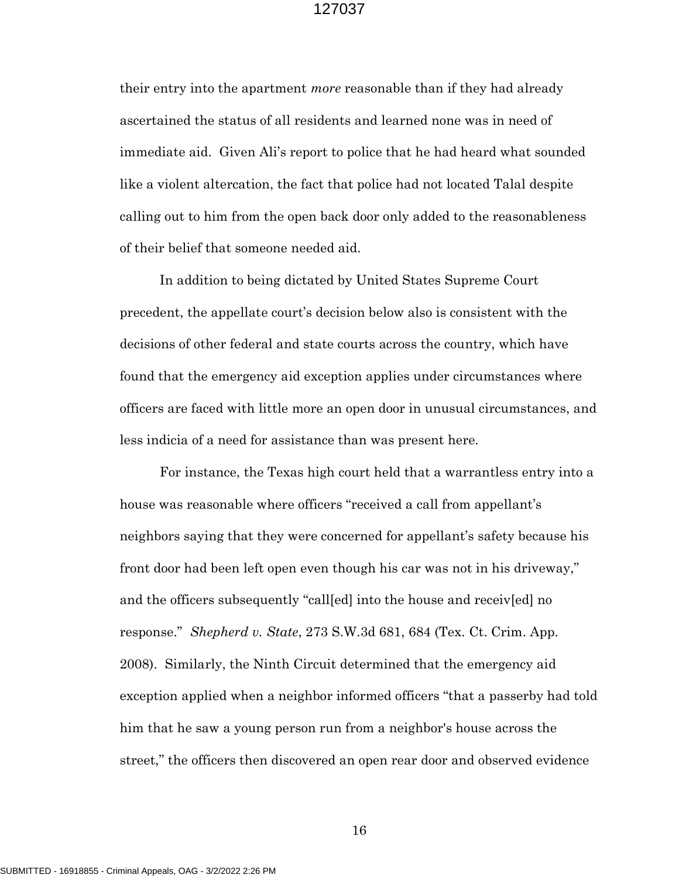their entry into the apartment *more* reasonable than if they had already ascertained the status of all residents and learned none was in need of immediate aid. Given Ali's report to police that he had heard what sounded like a violent altercation, the fact that police had not located Talal despite calling out to him from the open back door only added to the reasonableness of their belief that someone needed aid.

In addition to being dictated by United States Supreme Court precedent, the appellate court's decision below also is consistent with the decisions of other federal and state courts across the country, which have found that the emergency aid exception applies under circumstances where officers are faced with little more an open door in unusual circumstances, and less indicia of a need for assistance than was present here.

For instance, the Texas high court held that a warrantless entry into a house was reasonable where officers "received a call from appellant's neighbors saying that they were concerned for appellant's safety because his front door had been left open even though his car was not in his driveway," and the officers subsequently "call[ed] into the house and receiv[ed] no response." Shepherd v. State, 273 S.W.3d 681, 684 (Tex. Ct. Crim. App. 2008). Similarly, the Ninth Circuit determined that the emergency aid exception applied when a neighbor informed officers "that a passerby had told him that he saw a young person run from a neighbor's house across the street," the officers then discovered an open rear door and observed evidence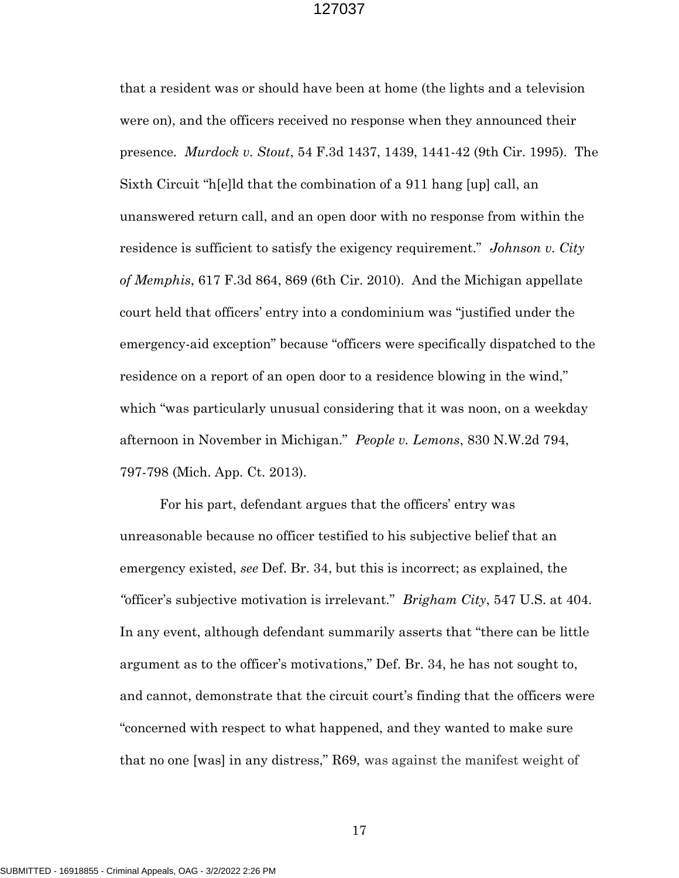that a resident was or should have been at home (the lights and a television were on), and the officers received no response when they announced their presence. Murdock v. Stout, 54 F.3d 1437, 1439, 1441-42 (9th Cir. 1995). The Sixth Circuit "h[e]ld that the combination of a 911 hang [up] call, an unanswered return call, and an open door with no response from within the residence is sufficient to satisfy the exigency requirement." Johnson v. City of Memphis, 617 F.3d 864, 869 (6th Cir. 2010). And the Michigan appellate court held that officers' entry into a condominium was "justified under the emergency-aid exception" because "officers were specifically dispatched to the residence on a report of an open door to a residence blowing in the wind," which "was particularly unusual considering that it was noon, on a weekday afternoon in November in Michigan." People v. Lemons, 830 N.W.2d 794, 797-798 (Mich. App. Ct. 2013).

For his part, defendant argues that the officers' entry was unreasonable because no officer testified to his subjective belief that an emergency existed, see Def. Br. 34, but this is incorrect; as explained, the "officer's subjective motivation is irrelevant." *Brigham City*, 547 U.S. at 404. In any event, although defendant summarily asserts that "there can be little argument as to the officer's motivations," Def. Br. 34, he has not sought to, and cannot, demonstrate that the circuit court's finding that the officers were "concerned with respect to what happened, and they wanted to make sure that no one [was] in any distress," R69, was against the manifest weight of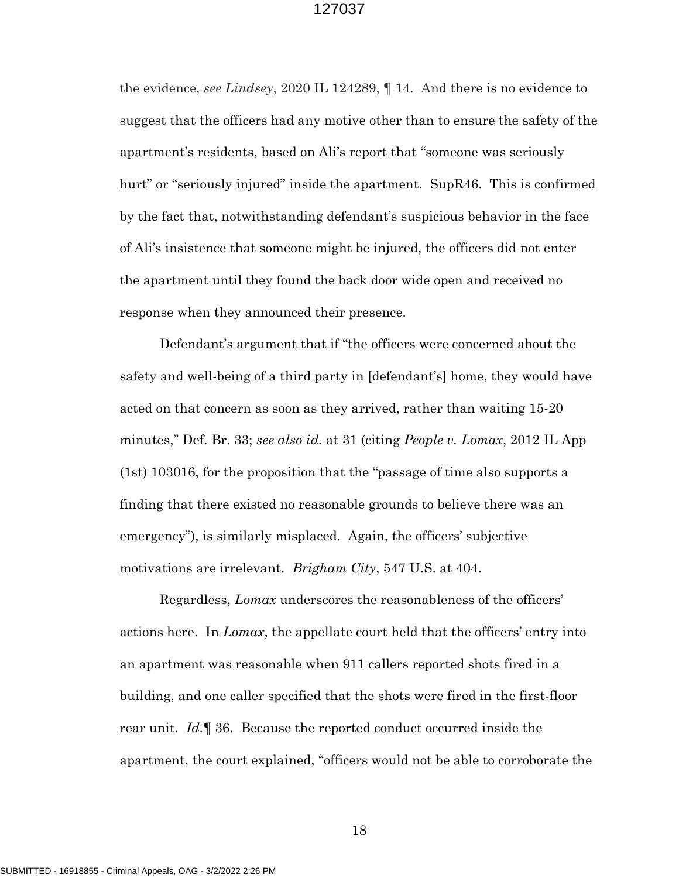the evidence, see Lindsey, 2020 IL 124289, ¶ 14. And there is no evidence to suggest that the officers had any motive other than to ensure the safety of the apartment's residents, based on Ali's report that "someone was seriously hurt" or "seriously injured" inside the apartment. SupR46. This is confirmed by the fact that, notwithstanding defendant's suspicious behavior in the face of Ali's insistence that someone might be injured, the officers did not enter the apartment until they found the back door wide open and received no response when they announced their presence.

Defendant's argument that if "the officers were concerned about the safety and well-being of a third party in [defendant's] home, they would have acted on that concern as soon as they arrived, rather than waiting 15-20 minutes," Def. Br. 33; see also id. at 31 (citing People v. Lomax, 2012 IL App (1st) 103016, for the proposition that the "passage of time also supports a finding that there existed no reasonable grounds to believe there was an emergency"), is similarly misplaced. Again, the officers' subjective motivations are irrelevant. *Brigham City*, 547 U.S. at 404.

Regardless, Lomax underscores the reasonableness of the officers' actions here. In Lomax, the appellate court held that the officers' entry into an apartment was reasonable when 911 callers reported shots fired in a building, and one caller specified that the shots were fired in the first-floor rear unit. Id.  $\mathbb{I}$  36. Because the reported conduct occurred inside the apartment, the court explained, "officers would not be able to corroborate the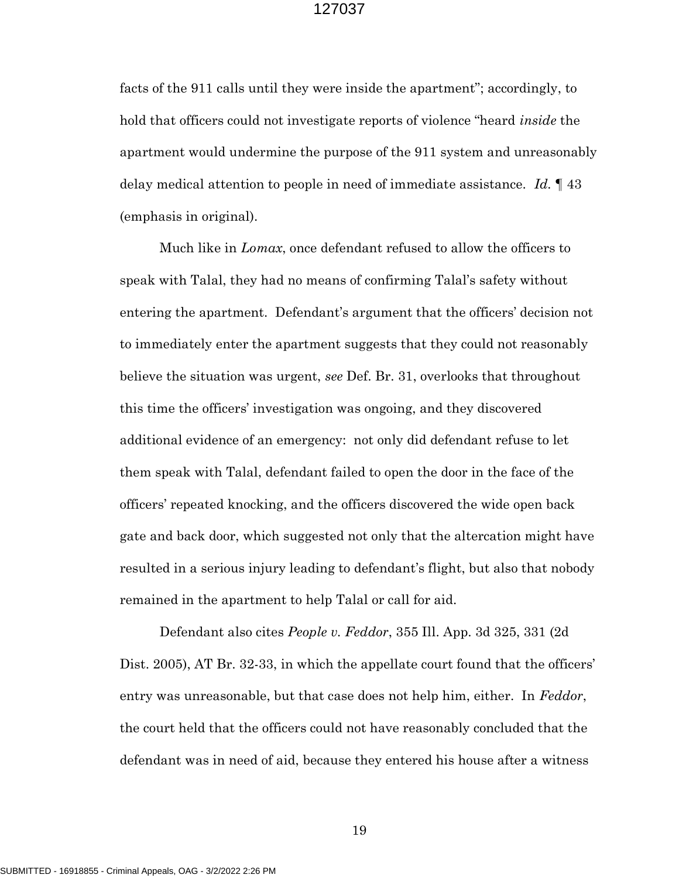facts of the 911 calls until they were inside the apartment"; accordingly, to hold that officers could not investigate reports of violence "heard *inside* the apartment would undermine the purpose of the 911 system and unreasonably delay medical attention to people in need of immediate assistance. Id. 143 (emphasis in original).

Much like in *Lomax*, once defendant refused to allow the officers to speak with Talal, they had no means of confirming Talal's safety without entering the apartment. Defendant's argument that the officers' decision not to immediately enter the apartment suggests that they could not reasonably believe the situation was urgent, see Def. Br. 31, overlooks that throughout this time the officers' investigation was ongoing, and they discovered additional evidence of an emergency: not only did defendant refuse to let them speak with Talal, defendant failed to open the door in the face of the officers' repeated knocking, and the officers discovered the wide open back gate and back door, which suggested not only that the altercation might have resulted in a serious injury leading to defendant's flight, but also that nobody remained in the apartment to help Talal or call for aid.

Defendant also cites People v. Feddor, 355 Ill. App. 3d 325, 331 (2d Dist. 2005), AT Br. 32-33, in which the appellate court found that the officers' entry was unreasonable, but that case does not help him, either. In Feddor, the court held that the officers could not have reasonably concluded that the defendant was in need of aid, because they entered his house after a witness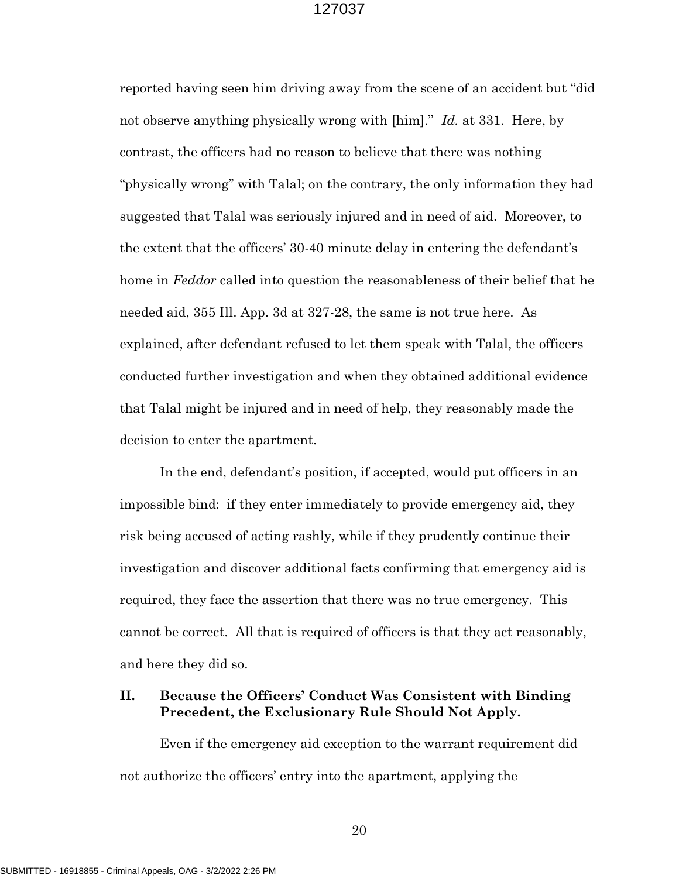reported having seen him driving away from the scene of an accident but "did not observe anything physically wrong with [him]." Id. at 331. Here, by contrast, the officers had no reason to believe that there was nothing "physically wrong" with Talal; on the contrary, the only information they had suggested that Talal was seriously injured and in need of aid. Moreover, to the extent that the officers' 30-40 minute delay in entering the defendant's home in *Feddor* called into question the reasonableness of their belief that he needed aid, 355 Ill. App. 3d at 327-28, the same is not true here. As explained, after defendant refused to let them speak with Talal, the officers conducted further investigation and when they obtained additional evidence that Talal might be injured and in need of help, they reasonably made the decision to enter the apartment.

In the end, defendant's position, if accepted, would put officers in an impossible bind: if they enter immediately to provide emergency aid, they risk being accused of acting rashly, while if they prudently continue their investigation and discover additional facts confirming that emergency aid is required, they face the assertion that there was no true emergency. This cannot be correct. All that is required of officers is that they act reasonably, and here they did so.

## II. Because the Officers' Conduct Was Consistent with Binding Precedent, the Exclusionary Rule Should Not Apply.

 Even if the emergency aid exception to the warrant requirement did not authorize the officers' entry into the apartment, applying the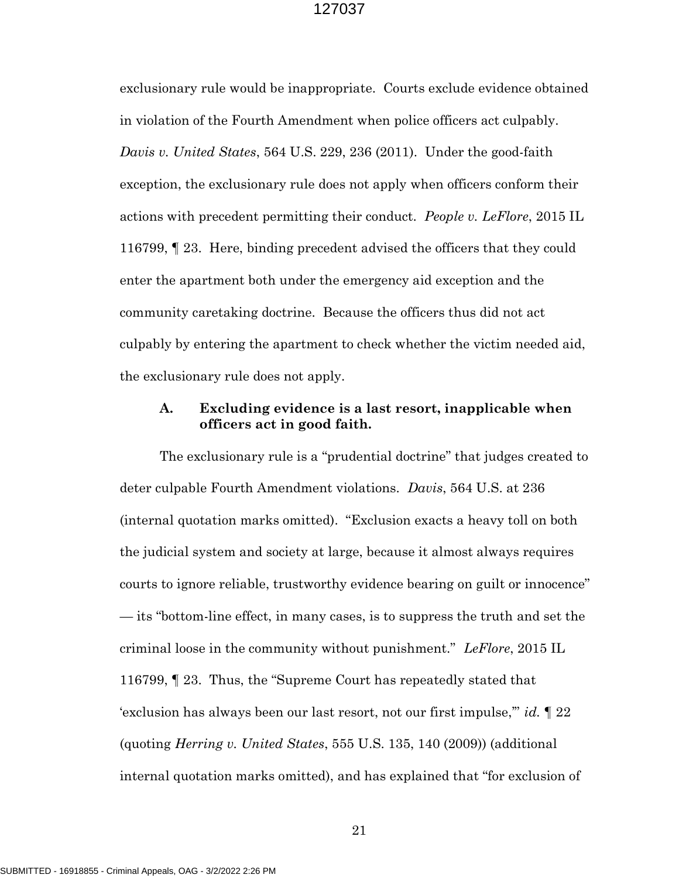exclusionary rule would be inappropriate. Courts exclude evidence obtained in violation of the Fourth Amendment when police officers act culpably. Davis v. United States, 564 U.S. 229, 236 (2011). Under the good-faith exception, the exclusionary rule does not apply when officers conform their actions with precedent permitting their conduct. People v. LeFlore, 2015 IL 116799, ¶ 23. Here, binding precedent advised the officers that they could enter the apartment both under the emergency aid exception and the community caretaking doctrine. Because the officers thus did not act culpably by entering the apartment to check whether the victim needed aid, the exclusionary rule does not apply.

## A. Excluding evidence is a last resort, inapplicable when officers act in good faith.

 The exclusionary rule is a "prudential doctrine" that judges created to deter culpable Fourth Amendment violations. Davis, 564 U.S. at 236 (internal quotation marks omitted). "Exclusion exacts a heavy toll on both the judicial system and society at large, because it almost always requires courts to ignore reliable, trustworthy evidence bearing on guilt or innocence" — its "bottom-line effect, in many cases, is to suppress the truth and set the criminal loose in the community without punishment." LeFlore,  $2015$  IL 116799, ¶ 23. Thus, the "Supreme Court has repeatedly stated that 'exclusion has always been our last resort, not our first impulse,'" id. ¶ 22 (quoting Herring v. United States, 555 U.S. 135, 140 (2009)) (additional internal quotation marks omitted), and has explained that "for exclusion of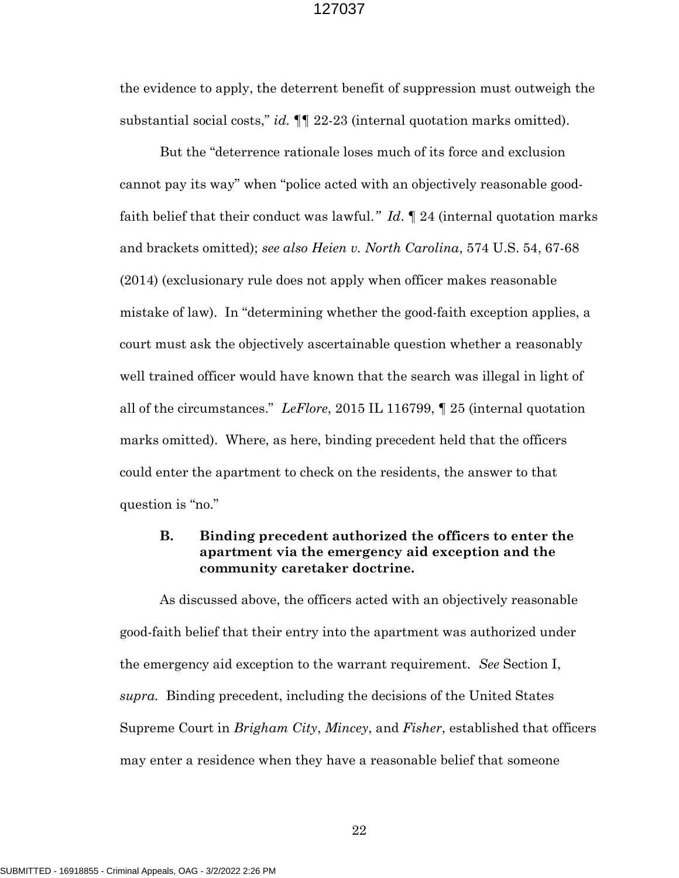the evidence to apply, the deterrent benefit of suppression must outweigh the substantial social costs," id.  $\P$  22-23 (internal quotation marks omitted).

 But the "deterrence rationale loses much of its force and exclusion cannot pay its way" when "police acted with an objectively reasonable goodfaith belief that their conduct was lawful."  $Id. \P$  24 (internal quotation marks and brackets omitted); see also Heien v. North Carolina, 574 U.S. 54, 67-68 (2014) (exclusionary rule does not apply when officer makes reasonable mistake of law). In "determining whether the good-faith exception applies, a court must ask the objectively ascertainable question whether a reasonably well trained officer would have known that the search was illegal in light of all of the circumstances." LeFlore, 2015 IL 116799, ¶ 25 (internal quotation marks omitted). Where, as here, binding precedent held that the officers could enter the apartment to check on the residents, the answer to that question is "no."

## B. Binding precedent authorized the officers to enter the apartment via the emergency aid exception and the community caretaker doctrine.

 As discussed above, the officers acted with an objectively reasonable good-faith belief that their entry into the apartment was authorized under the emergency aid exception to the warrant requirement. See Section I, supra. Binding precedent, including the decisions of the United States Supreme Court in *Brigham City, Mincey*, and *Fisher*, established that officers may enter a residence when they have a reasonable belief that someone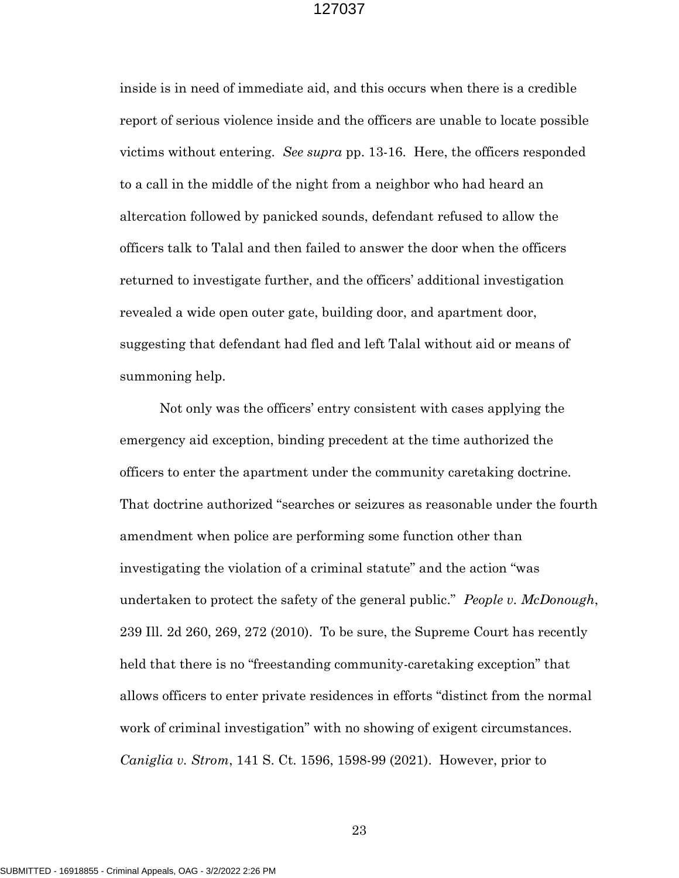inside is in need of immediate aid, and this occurs when there is a credible report of serious violence inside and the officers are unable to locate possible victims without entering. See supra pp. 13-16. Here, the officers responded to a call in the middle of the night from a neighbor who had heard an altercation followed by panicked sounds, defendant refused to allow the officers talk to Talal and then failed to answer the door when the officers returned to investigate further, and the officers' additional investigation revealed a wide open outer gate, building door, and apartment door, suggesting that defendant had fled and left Talal without aid or means of summoning help.

Not only was the officers' entry consistent with cases applying the emergency aid exception, binding precedent at the time authorized the officers to enter the apartment under the community caretaking doctrine. That doctrine authorized "searches or seizures as reasonable under the fourth amendment when police are performing some function other than investigating the violation of a criminal statute" and the action "was undertaken to protect the safety of the general public." People v. McDonough, 239 Ill. 2d 260, 269, 272 (2010). To be sure, the Supreme Court has recently held that there is no "freestanding community-caretaking exception" that allows officers to enter private residences in efforts "distinct from the normal work of criminal investigation" with no showing of exigent circumstances. Caniglia v. Strom, 141 S. Ct. 1596, 1598-99 (2021). However, prior to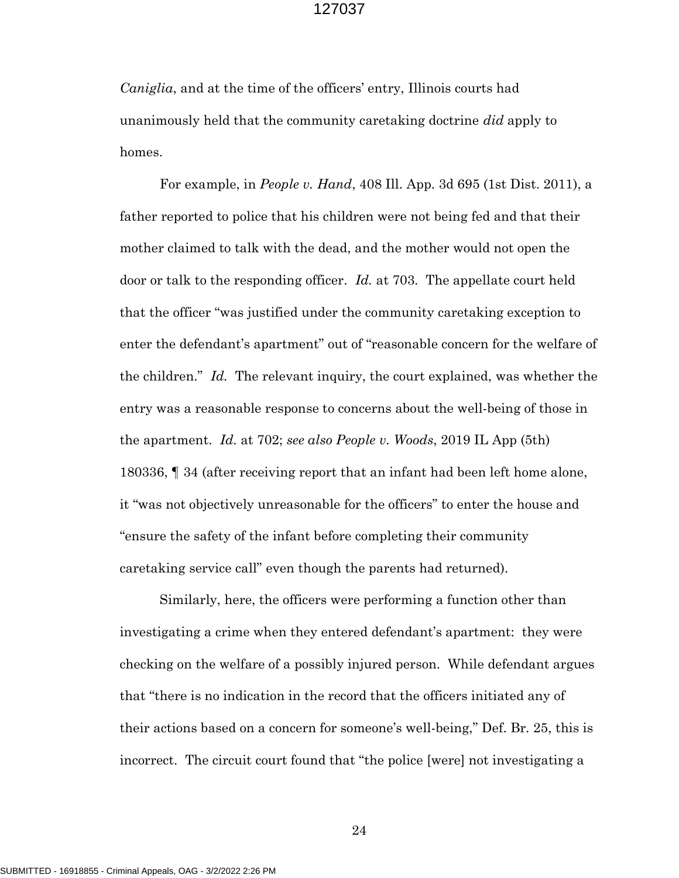Caniglia, and at the time of the officers' entry, Illinois courts had unanimously held that the community caretaking doctrine *did* apply to homes.

For example, in People v. Hand, 408 Ill. App. 3d 695 (1st Dist. 2011), a father reported to police that his children were not being fed and that their mother claimed to talk with the dead, and the mother would not open the door or talk to the responding officer. Id. at 703. The appellate court held that the officer "was justified under the community caretaking exception to enter the defendant's apartment" out of "reasonable concern for the welfare of the children." Id. The relevant inquiry, the court explained, was whether the entry was a reasonable response to concerns about the well-being of those in the apartment. Id. at 702; see also People v. Woods, 2019 IL App (5th) 180336, ¶ 34 (after receiving report that an infant had been left home alone, it "was not objectively unreasonable for the officers" to enter the house and "ensure the safety of the infant before completing their community caretaking service call" even though the parents had returned).

Similarly, here, the officers were performing a function other than investigating a crime when they entered defendant's apartment: they were checking on the welfare of a possibly injured person. While defendant argues that "there is no indication in the record that the officers initiated any of their actions based on a concern for someone's well-being," Def. Br. 25, this is incorrect. The circuit court found that "the police [were] not investigating a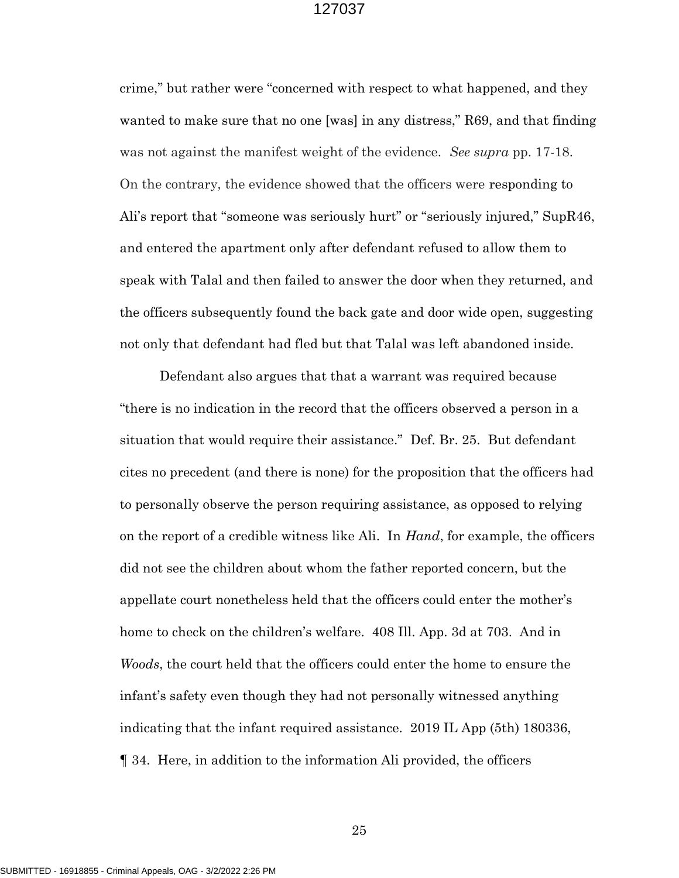crime," but rather were "concerned with respect to what happened, and they wanted to make sure that no one [was] in any distress," R69, and that finding was not against the manifest weight of the evidence. See supra pp. 17-18. On the contrary, the evidence showed that the officers were responding to Ali's report that "someone was seriously hurt" or "seriously injured," SupR46, and entered the apartment only after defendant refused to allow them to speak with Talal and then failed to answer the door when they returned, and the officers subsequently found the back gate and door wide open, suggesting not only that defendant had fled but that Talal was left abandoned inside.

Defendant also argues that that a warrant was required because "there is no indication in the record that the officers observed a person in a situation that would require their assistance." Def. Br. 25. But defendant cites no precedent (and there is none) for the proposition that the officers had to personally observe the person requiring assistance, as opposed to relying on the report of a credible witness like Ali. In Hand, for example, the officers did not see the children about whom the father reported concern, but the appellate court nonetheless held that the officers could enter the mother's home to check on the children's welfare. 408 Ill. App. 3d at 703. And in Woods, the court held that the officers could enter the home to ensure the infant's safety even though they had not personally witnessed anything indicating that the infant required assistance. 2019 IL App (5th) 180336, ¶ 34. Here, in addition to the information Ali provided, the officers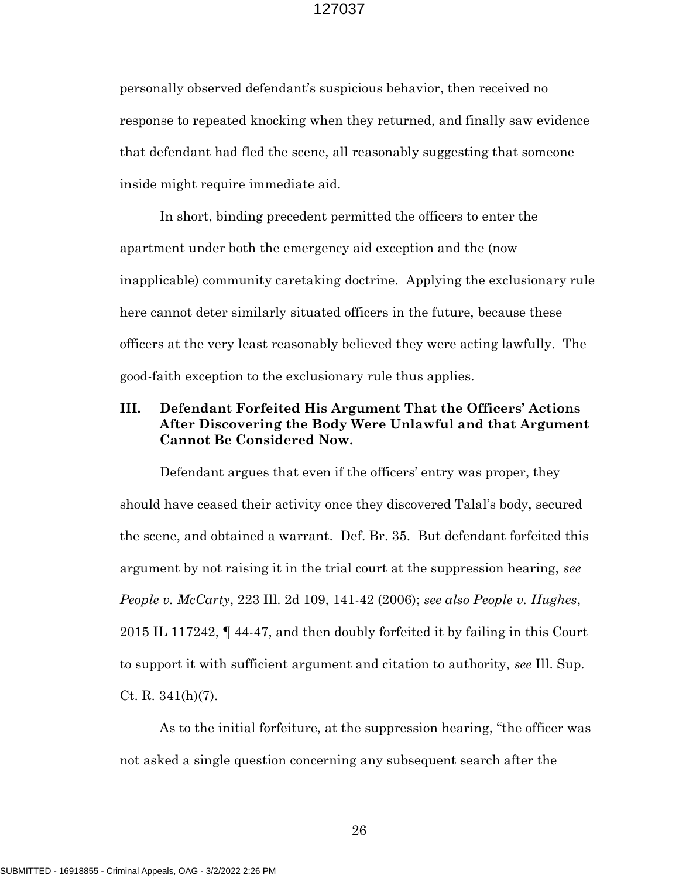personally observed defendant's suspicious behavior, then received no response to repeated knocking when they returned, and finally saw evidence that defendant had fled the scene, all reasonably suggesting that someone inside might require immediate aid.

In short, binding precedent permitted the officers to enter the apartment under both the emergency aid exception and the (now inapplicable) community caretaking doctrine. Applying the exclusionary rule here cannot deter similarly situated officers in the future, because these officers at the very least reasonably believed they were acting lawfully. The good-faith exception to the exclusionary rule thus applies.

## III. Defendant Forfeited His Argument That the Officers' Actions After Discovering the Body Were Unlawful and that Argument Cannot Be Considered Now.

 Defendant argues that even if the officers' entry was proper, they should have ceased their activity once they discovered Talal's body, secured the scene, and obtained a warrant. Def. Br. 35. But defendant forfeited this argument by not raising it in the trial court at the suppression hearing, see People v. McCarty, 223 Ill. 2d 109, 141-42 (2006); see also People v. Hughes, 2015 IL 117242, ¶ 44-47, and then doubly forfeited it by failing in this Court to support it with sufficient argument and citation to authority, see Ill. Sup. Ct. R.  $341(h)(7)$ .

As to the initial forfeiture, at the suppression hearing, "the officer was not asked a single question concerning any subsequent search after the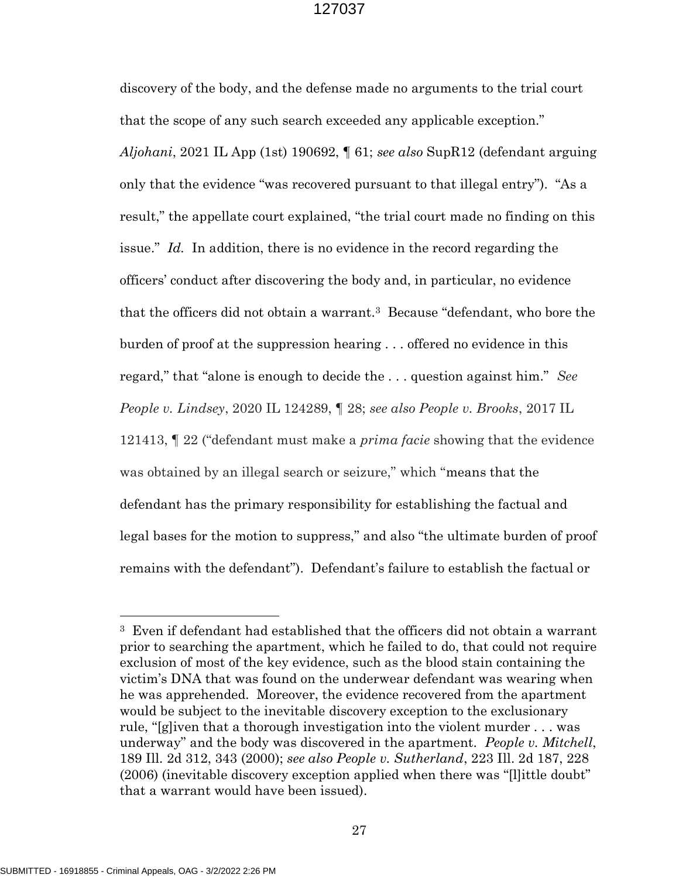discovery of the body, and the defense made no arguments to the trial court that the scope of any such search exceeded any applicable exception." Aljohani, 2021 IL App (1st) 190692,  $\P$  61; see also SupR12 (defendant arguing only that the evidence "was recovered pursuant to that illegal entry"). "As a result," the appellate court explained, "the trial court made no finding on this issue." Id. In addition, there is no evidence in the record regarding the officers' conduct after discovering the body and, in particular, no evidence that the officers did not obtain a warrant.3 Because "defendant, who bore the burden of proof at the suppression hearing . . . offered no evidence in this regard," that "alone is enough to decide the ... question against him." See People v. Lindsey, 2020 IL 124289, ¶ 28; see also People v. Brooks, 2017 IL 121413, ¶ 22 ("defendant must make a prima facie showing that the evidence was obtained by an illegal search or seizure," which "means that the defendant has the primary responsibility for establishing the factual and legal bases for the motion to suppress," and also "the ultimate burden of proof remains with the defendant"). Defendant's failure to establish the factual or

 $\overline{a}$ 

<sup>3</sup> Even if defendant had established that the officers did not obtain a warrant prior to searching the apartment, which he failed to do, that could not require exclusion of most of the key evidence, such as the blood stain containing the victim's DNA that was found on the underwear defendant was wearing when he was apprehended. Moreover, the evidence recovered from the apartment would be subject to the inevitable discovery exception to the exclusionary rule, "[g]iven that a thorough investigation into the violent murder . . . was underway" and the body was discovered in the apartment. People v. Mitchell, 189 Ill. 2d 312, 343 (2000); see also People v. Sutherland, 223 Ill. 2d 187, 228 (2006) (inevitable discovery exception applied when there was "[l]ittle doubt" that a warrant would have been issued).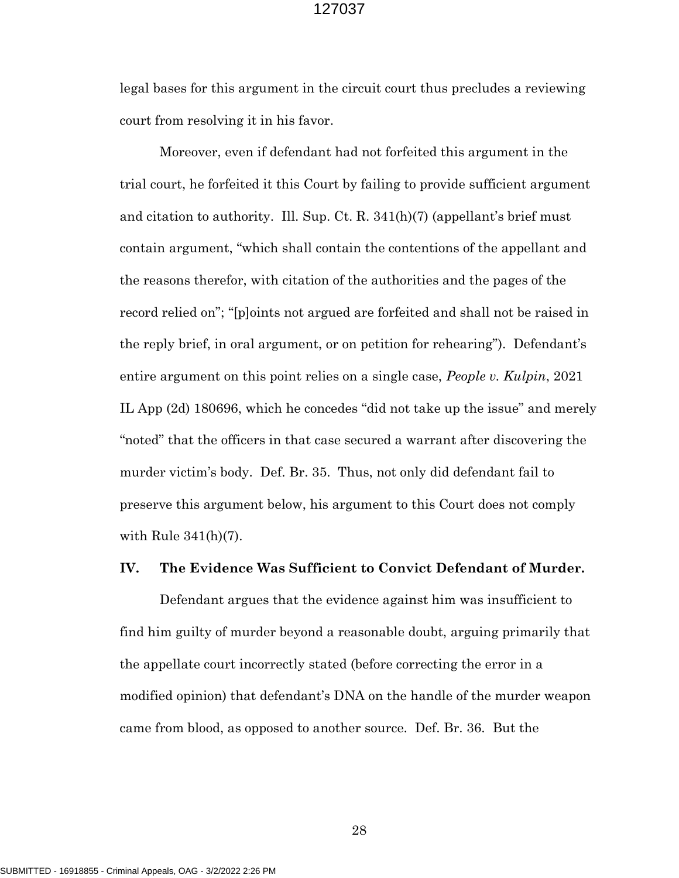legal bases for this argument in the circuit court thus precludes a reviewing court from resolving it in his favor.

Moreover, even if defendant had not forfeited this argument in the trial court, he forfeited it this Court by failing to provide sufficient argument and citation to authority. Ill. Sup. Ct. R. 341(h)(7) (appellant's brief must contain argument, "which shall contain the contentions of the appellant and the reasons therefor, with citation of the authorities and the pages of the record relied on"; "[p]oints not argued are forfeited and shall not be raised in the reply brief, in oral argument, or on petition for rehearing"). Defendant's entire argument on this point relies on a single case, *People v. Kulpin*, 2021 IL App (2d) 180696, which he concedes "did not take up the issue" and merely "noted" that the officers in that case secured a warrant after discovering the murder victim's body. Def. Br. 35. Thus, not only did defendant fail to preserve this argument below, his argument to this Court does not comply with Rule 341(h)(7).

## IV. The Evidence Was Sufficient to Convict Defendant of Murder.

Defendant argues that the evidence against him was insufficient to find him guilty of murder beyond a reasonable doubt, arguing primarily that the appellate court incorrectly stated (before correcting the error in a modified opinion) that defendant's DNA on the handle of the murder weapon came from blood, as opposed to another source. Def. Br. 36. But the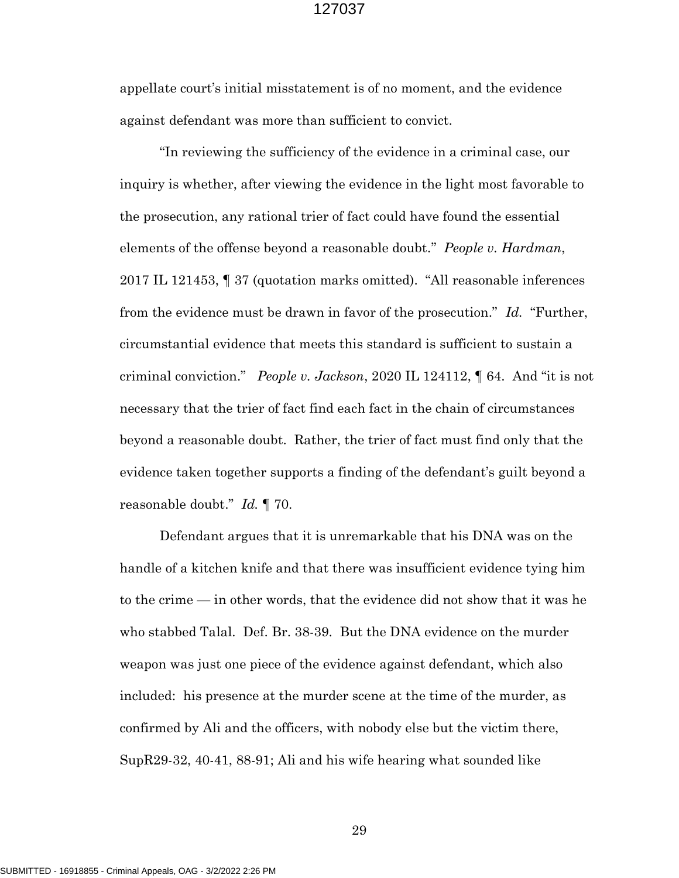appellate court's initial misstatement is of no moment, and the evidence against defendant was more than sufficient to convict.

"In reviewing the sufficiency of the evidence in a criminal case, our inquiry is whether, after viewing the evidence in the light most favorable to the prosecution, any rational trier of fact could have found the essential elements of the offense beyond a reasonable doubt." *People v. Hardman*, 2017 IL 121453, ¶ 37 (quotation marks omitted). "All reasonable inferences from the evidence must be drawn in favor of the prosecution." Id. "Further, circumstantial evidence that meets this standard is sufficient to sustain a criminal conviction." *People v. Jackson*, 2020 IL 124112,  $\parallel$  64. And "it is not necessary that the trier of fact find each fact in the chain of circumstances beyond a reasonable doubt. Rather, the trier of fact must find only that the evidence taken together supports a finding of the defendant's guilt beyond a reasonable doubt." Id. ¶ 70.

Defendant argues that it is unremarkable that his DNA was on the handle of a kitchen knife and that there was insufficient evidence tying him to the crime — in other words, that the evidence did not show that it was he who stabbed Talal. Def. Br. 38-39. But the DNA evidence on the murder weapon was just one piece of the evidence against defendant, which also included: his presence at the murder scene at the time of the murder, as confirmed by Ali and the officers, with nobody else but the victim there, SupR29-32, 40-41, 88-91; Ali and his wife hearing what sounded like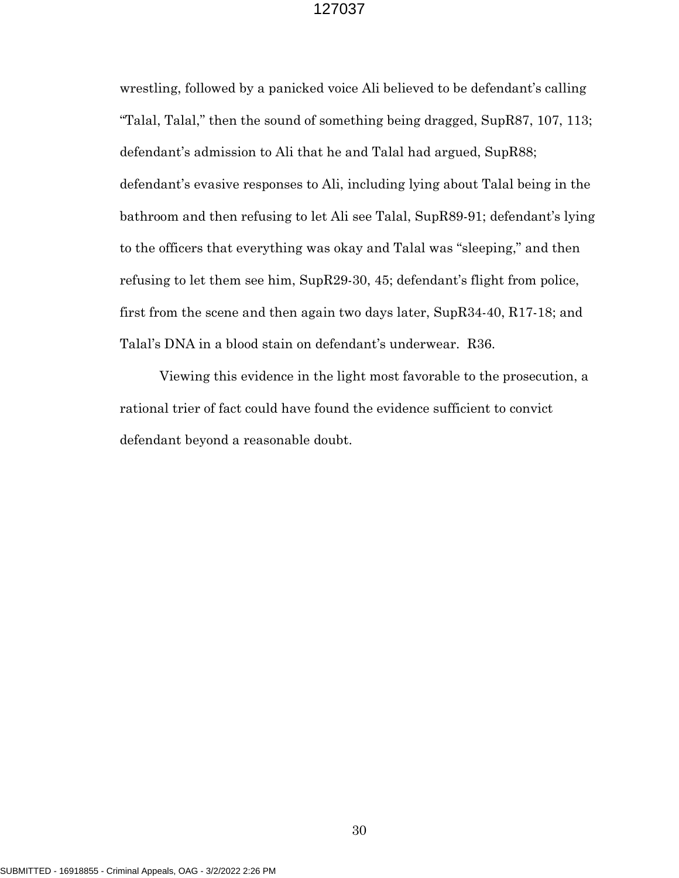wrestling, followed by a panicked voice Ali believed to be defendant's calling "Talal, Talal," then the sound of something being dragged, SupR87, 107, 113; defendant's admission to Ali that he and Talal had argued, SupR88; defendant's evasive responses to Ali, including lying about Talal being in the bathroom and then refusing to let Ali see Talal, SupR89-91; defendant's lying to the officers that everything was okay and Talal was "sleeping," and then refusing to let them see him, SupR29-30, 45; defendant's flight from police, first from the scene and then again two days later, SupR34-40, R17-18; and Talal's DNA in a blood stain on defendant's underwear. R36.

Viewing this evidence in the light most favorable to the prosecution, a rational trier of fact could have found the evidence sufficient to convict defendant beyond a reasonable doubt.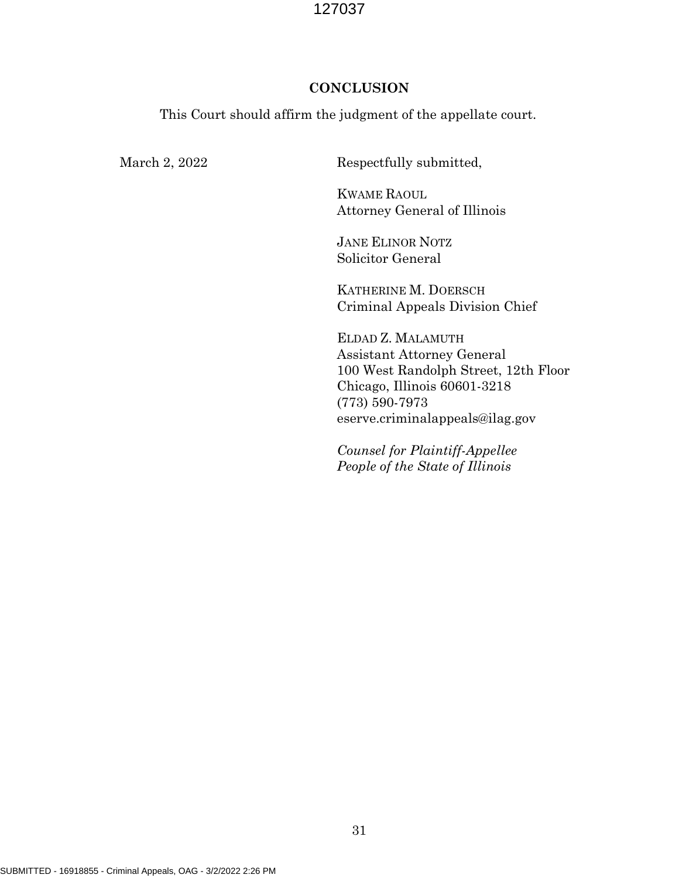## **CONCLUSION**

This Court should affirm the judgment of the appellate court.

March 2, 2022 Respectfully submitted,

 KWAME RAOUL Attorney General of Illinois

 JANE ELINOR NOTZ Solicitor General

 KATHERINE M. DOERSCH Criminal Appeals Division Chief

 ELDAD Z. MALAMUTH Assistant Attorney General 100 West Randolph Street, 12th Floor Chicago, Illinois 60601-3218 (773) 590-7973 eserve.criminalappeals@ilag.gov

 Counsel for Plaintiff-Appellee People of the State of Illinois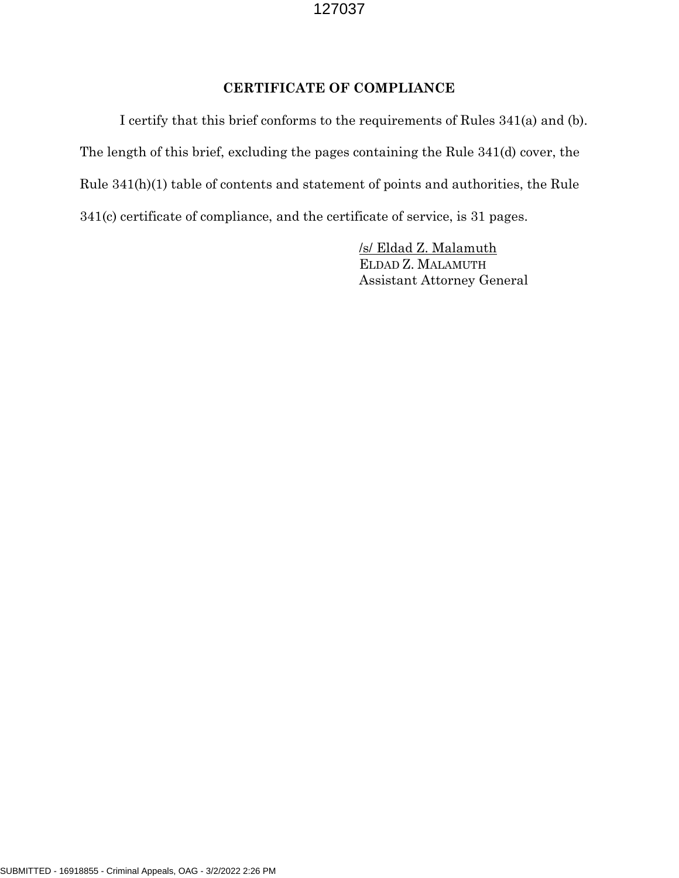## CERTIFICATE OF COMPLIANCE

 I certify that this brief conforms to the requirements of Rules 341(a) and (b). The length of this brief, excluding the pages containing the Rule 341(d) cover, the Rule 341(h)(1) table of contents and statement of points and authorities, the Rule 341(c) certificate of compliance, and the certificate of service, is 31 pages.

> /s/ Eldad Z. Malamuth ELDAD Z. MALAMUTH Assistant Attorney General